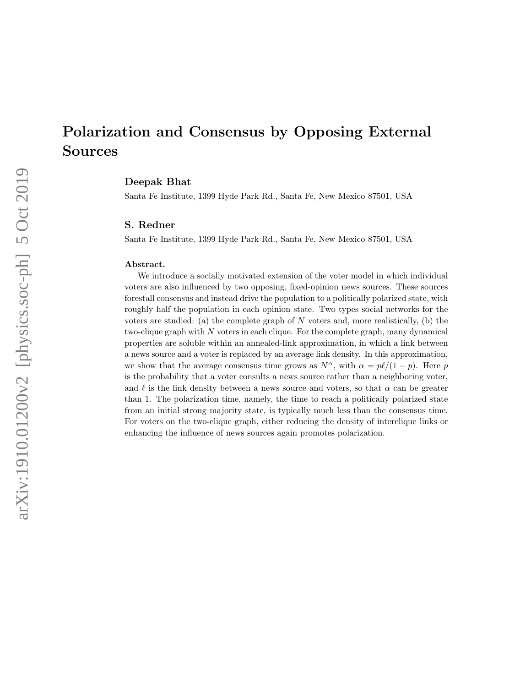# Polarization and Consensus by Opposing External Sources

# Deepak Bhat

Santa Fe Institute, 1399 Hyde Park Rd., Santa Fe, New Mexico 87501, USA

### S. Redner

Santa Fe Institute, 1399 Hyde Park Rd., Santa Fe, New Mexico 87501, USA

#### Abstract.

We introduce a socially motivated extension of the voter model in which individual voters are also influenced by two opposing, fixed-opinion news sources. These sources forestall consensus and instead drive the population to a politically polarized state, with roughly half the population in each opinion state. Two types social networks for the voters are studied: (a) the complete graph of  $N$  voters and, more realistically, (b) the two-clique graph with N voters in each clique. For the complete graph, many dynamical properties are soluble within an annealed-link approximation, in which a link between a news source and a voter is replaced by an average link density. In this approximation, we show that the average consensus time grows as  $N^{\alpha}$ , with  $\alpha = p\ell/(1 - p)$ . Here p is the probability that a voter consults a news source rather than a neighboring voter, and  $\ell$  is the link density between a news source and voters, so that  $\alpha$  can be greater than 1. The polarization time, namely, the time to reach a politically polarized state from an initial strong majority state, is typically much less than the consensus time. For voters on the two-clique graph, either reducing the density of interclique links or enhancing the influence of news sources again promotes polarization.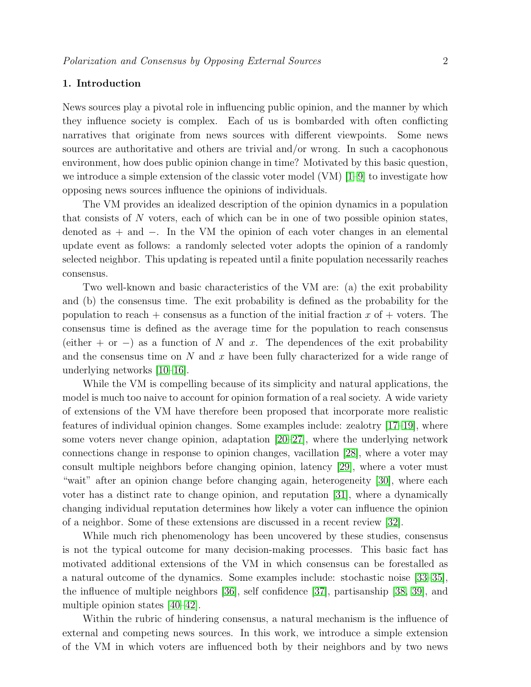# 1. Introduction

News sources play a pivotal role in influencing public opinion, and the manner by which they influence society is complex. Each of us is bombarded with often conflicting narratives that originate from news sources with different viewpoints. Some news sources are authoritative and others are trivial and/or wrong. In such a cacophonous environment, how does public opinion change in time? Motivated by this basic question, we introduce a simple extension of the classic voter model  $(VM)$  [\[1–](#page-27-0)[9\]](#page-27-1) to investigate how opposing news sources influence the opinions of individuals.

The VM provides an idealized description of the opinion dynamics in a population that consists of  $N$  voters, each of which can be in one of two possible opinion states, denoted as + and −. In the VM the opinion of each voter changes in an elemental update event as follows: a randomly selected voter adopts the opinion of a randomly selected neighbor. This updating is repeated until a finite population necessarily reaches consensus.

Two well-known and basic characteristics of the VM are: (a) the exit probability and (b) the consensus time. The exit probability is defined as the probability for the population to reach + consensus as a function of the initial fraction  $x$  of + voters. The consensus time is defined as the average time for the population to reach consensus (either + or -) as a function of N and x. The dependences of the exit probability and the consensus time on  $N$  and  $x$  have been fully characterized for a wide range of underlying networks [\[10](#page-27-2)[–16\]](#page-27-3).

While the VM is compelling because of its simplicity and natural applications, the model is much too naive to account for opinion formation of a real society. A wide variety of extensions of the VM have therefore been proposed that incorporate more realistic features of individual opinion changes. Some examples include: zealotry [\[17–](#page-27-4)[19\]](#page-27-5), where some voters never change opinion, adaptation [\[20](#page-27-6)[–27\]](#page-28-0), where the underlying network connections change in response to opinion changes, vacillation [\[28\]](#page-28-1), where a voter may consult multiple neighbors before changing opinion, latency [\[29\]](#page-28-2), where a voter must "wait" after an opinion change before changing again, heterogeneity [\[30\]](#page-28-3), where each voter has a distinct rate to change opinion, and reputation [\[31\]](#page-28-4), where a dynamically changing individual reputation determines how likely a voter can influence the opinion of a neighbor. Some of these extensions are discussed in a recent review [\[32\]](#page-28-5).

While much rich phenomenology has been uncovered by these studies, consensus is not the typical outcome for many decision-making processes. This basic fact has motivated additional extensions of the VM in which consensus can be forestalled as a natural outcome of the dynamics. Some examples include: stochastic noise [\[33–](#page-28-6)[35\]](#page-28-7), the influence of multiple neighbors [\[36\]](#page-28-8), self confidence [\[37\]](#page-28-9), partisanship [\[38,](#page-28-10) [39\]](#page-28-11), and multiple opinion states [\[40–](#page-28-12)[42\]](#page-28-13).

Within the rubric of hindering consensus, a natural mechanism is the influence of external and competing news sources. In this work, we introduce a simple extension of the VM in which voters are influenced both by their neighbors and by two news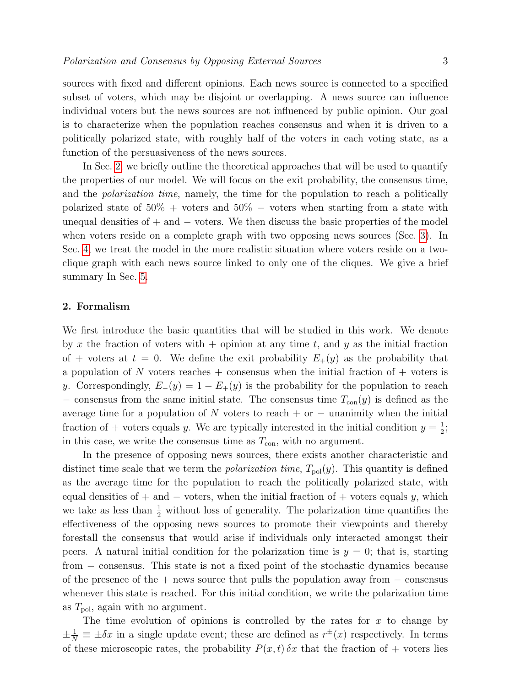sources with fixed and different opinions. Each news source is connected to a specified subset of voters, which may be disjoint or overlapping. A news source can influence individual voters but the news sources are not influenced by public opinion. Our goal is to characterize when the population reaches consensus and when it is driven to a politically polarized state, with roughly half of the voters in each voting state, as a function of the persuasiveness of the news sources.

In Sec. [2,](#page-2-0) we briefly outline the theoretical approaches that will be used to quantify the properties of our model. We will focus on the exit probability, the consensus time, and the *polarization time*, namely, the time for the population to reach a politically polarized state of  $50\%$  + voters and  $50\%$  – voters when starting from a state with unequal densities of  $+$  and  $-$  voters. We then discuss the basic properties of the model when voters reside on a complete graph with two opposing news sources (Sec. [3\)](#page-5-0). In Sec. [4,](#page-15-0) we treat the model in the more realistic situation where voters reside on a twoclique graph with each news source linked to only one of the cliques. We give a brief summary In Sec. [5.](#page-20-0)

# <span id="page-2-0"></span>2. Formalism

We first introduce the basic quantities that will be studied in this work. We denote by x the fraction of voters with  $+$  opinion at any time t, and y as the initial fraction of + voters at  $t = 0$ . We define the exit probability  $E_{+}(y)$  as the probability that a population of N voters reaches  $+$  consensus when the initial fraction of  $+$  voters is y. Correspondingly,  $E_-(y) = 1 - E_+(y)$  is the probability for the population to reach − consensus from the same initial state. The consensus time  $T_{con}(y)$  is defined as the average time for a population of N voters to reach + or  $-$  unanimity when the initial fraction of + voters equals y. We are typically interested in the initial condition  $y = \frac{1}{2}$  $\frac{1}{2}$ ; in this case, we write the consensus time as  $T_{\rm con}$ , with no argument.

In the presence of opposing news sources, there exists another characteristic and distinct time scale that we term the *polarization time*,  $T_{pol}(y)$ . This quantity is defined as the average time for the population to reach the politically polarized state, with equal densities of + and  $-$  voters, when the initial fraction of + voters equals y, which we take as less than  $\frac{1}{2}$  without loss of generality. The polarization time quantifies the effectiveness of the opposing news sources to promote their viewpoints and thereby forestall the consensus that would arise if individuals only interacted amongst their peers. A natural initial condition for the polarization time is  $y = 0$ ; that is, starting from – consensus. This state is not a fixed point of the stochastic dynamics because of the presence of the  $+$  news source that pulls the population away from  $-$  consensus whenever this state is reached. For this initial condition, we write the polarization time as  $T_{\text{pol}}$ , again with no argument.

The time evolution of opinions is controlled by the rates for  $x$  to change by  $\pm \frac{1}{N} \equiv \pm \delta x$  in a single update event; these are defined as  $r^{\pm}(x)$  respectively. In terms of these microscopic rates, the probability  $P(x, t)$   $\delta x$  that the fraction of + voters lies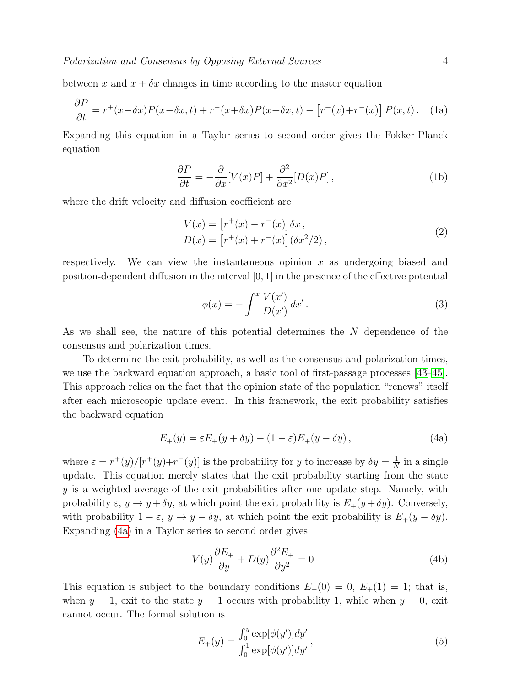between x and  $x + \delta x$  changes in time according to the master equation

$$
\frac{\partial P}{\partial t} = r^+(x - \delta x)P(x - \delta x, t) + r^-(x + \delta x)P(x + \delta x, t) - \left[r^+(x) + r^-(x)\right]P(x, t). \tag{1a}
$$

Expanding this equation in a Taylor series to second order gives the Fokker-Planck equation

$$
\frac{\partial P}{\partial t} = -\frac{\partial}{\partial x}[V(x)P] + \frac{\partial^2}{\partial x^2}[D(x)P],\tag{1b}
$$

where the drift velocity and diffusion coefficient are

<span id="page-3-4"></span>
$$
V(x) = [r^+(x) - r^-(x)]\delta x ,
$$
  
\n
$$
D(x) = [r^+(x) + r^-(x)](\delta x^2/2) ,
$$
\n(2)

respectively. We can view the instantaneous opinion  $x$  as undergoing biased and position-dependent diffusion in the interval  $[0, 1]$  in the presence of the effective potential

<span id="page-3-2"></span><span id="page-3-1"></span><span id="page-3-0"></span>
$$
\phi(x) = -\int^x \frac{V(x')}{D(x')} dx' \,. \tag{3}
$$

As we shall see, the nature of this potential determines the N dependence of the consensus and polarization times.

To determine the exit probability, as well as the consensus and polarization times, we use the backward equation approach, a basic tool of first-passage processes [\[43–](#page-28-14)[45\]](#page-28-15). This approach relies on the fact that the opinion state of the population "renews" itself after each microscopic update event. In this framework, the exit probability satisfies the backward equation

$$
E_{+}(y) = \varepsilon E_{+}(y + \delta y) + (1 - \varepsilon)E_{+}(y - \delta y), \qquad (4a)
$$

where  $\varepsilon = r^+(y)/[r^+(y)+r^-(y)]$  is the probability for y to increase by  $\delta y = \frac{1}{N}$  $\frac{1}{N}$  in a single update. This equation merely states that the exit probability starting from the state y is a weighted average of the exit probabilities after one update step. Namely, with probability  $\varepsilon$ ,  $y \to y + \delta y$ , at which point the exit probability is  $E_+(y + \delta y)$ . Conversely, with probability  $1 - \varepsilon$ ,  $y \to y - \delta y$ , at which point the exit probability is  $E_+(y - \delta y)$ . Expanding [\(4a\)](#page-3-0) in a Taylor series to second order gives

$$
V(y)\frac{\partial E_+}{\partial y} + D(y)\frac{\partial^2 E_+}{\partial y^2} = 0.
$$
\n(4b)

This equation is subject to the boundary conditions  $E_+(0) = 0$ ,  $E_+(1) = 1$ ; that is, when  $y = 1$ , exit to the state  $y = 1$  occurs with probability 1, while when  $y = 0$ , exit cannot occur. The formal solution is

<span id="page-3-3"></span>
$$
E_{+}(y) = \frac{\int_{0}^{y} \exp[\phi(y')]dy'}{\int_{0}^{1} \exp[\phi(y')]dy'},
$$
\n(5)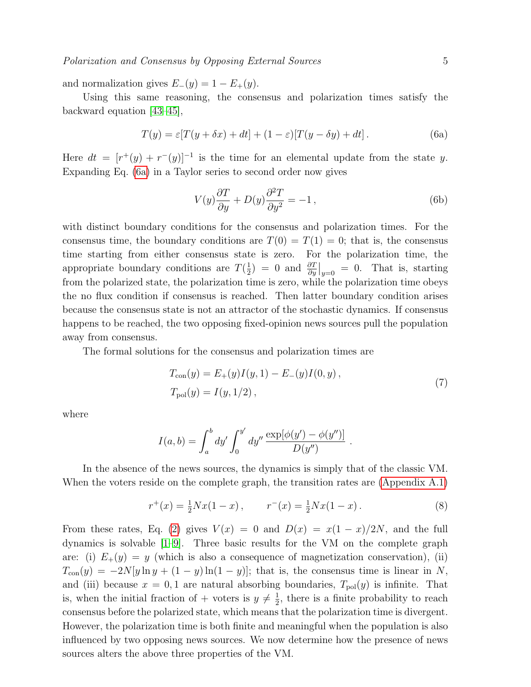and normalization gives  $E_-(y) = 1 - E_+(y)$ .

Using this same reasoning, the consensus and polarization times satisfy the backward equation [\[43–](#page-28-14)[45\]](#page-28-15),

$$
T(y) = \varepsilon [T(y + \delta x) + dt] + (1 - \varepsilon)[T(y - \delta y) + dt].
$$
 (6a)

Here  $dt = [r^+(y) + r^-(y)]^{-1}$  is the time for an elemental update from the state y. Expanding Eq. [\(6a\)](#page-4-0) in a Taylor series to second order now gives

<span id="page-4-0"></span>
$$
V(y)\frac{\partial T}{\partial y} + D(y)\frac{\partial^2 T}{\partial y^2} = -1\,,\tag{6b}
$$

with distinct boundary conditions for the consensus and polarization times. For the consensus time, the boundary conditions are  $T(0) = T(1) = 0$ ; that is, the consensus time starting from either consensus state is zero. For the polarization time, the appropriate boundary conditions are  $T(\frac{1}{2})$  $\frac{1}{2}$  = 0 and  $\frac{\partial T}{\partial y}\Big|_{y=0}$  = 0. That is, starting from the polarized state, the polarization time is zero, while the polarization time obeys the no flux condition if consensus is reached. Then latter boundary condition arises because the consensus state is not an attractor of the stochastic dynamics. If consensus happens to be reached, the two opposing fixed-opinion news sources pull the population away from consensus.

The formal solutions for the consensus and polarization times are

<span id="page-4-1"></span>
$$
T_{\text{con}}(y) = E_{+}(y)I(y, 1) - E_{-}(y)I(0, y),
$$
  
\n
$$
T_{\text{pol}}(y) = I(y, 1/2),
$$
\n(7)

where

<span id="page-4-2"></span>
$$
I(a,b) = \int_a^b dy' \int_0^{y'} dy'' \frac{\exp[\phi(y') - \phi(y'')]}{D(y'')}.
$$

In the absence of the news sources, the dynamics is simply that of the classic VM. When the voters reside on the complete graph, the transition rates are [\(Appendix A.1\)](#page-22-0)

$$
r^{+}(x) = \frac{1}{2}Nx(1-x), \qquad r^{-}(x) = \frac{1}{2}Nx(1-x).
$$
 (8)

From these rates, Eq. [\(2\)](#page-3-1) gives  $V(x) = 0$  and  $D(x) = x(1-x)/2N$ , and the full dynamics is solvable [\[1](#page-27-0)[–9\]](#page-27-1). Three basic results for the VM on the complete graph are: (i)  $E_+(y) = y$  (which is also a consequence of magnetization conservation), (ii)  $T_{\text{con}}(y) = -2N[y \ln y + (1 - y) \ln(1 - y)];$  that is, the consensus time is linear in N, and (iii) because  $x = 0, 1$  are natural absorbing boundaries,  $T_{pol}(y)$  is infinite. That is, when the initial fraction of + voters is  $y \neq \frac{1}{2}$  $\frac{1}{2}$ , there is a finite probability to reach consensus before the polarized state, which means that the polarization time is divergent. However, the polarization time is both finite and meaningful when the population is also influenced by two opposing news sources. We now determine how the presence of news sources alters the above three properties of the VM.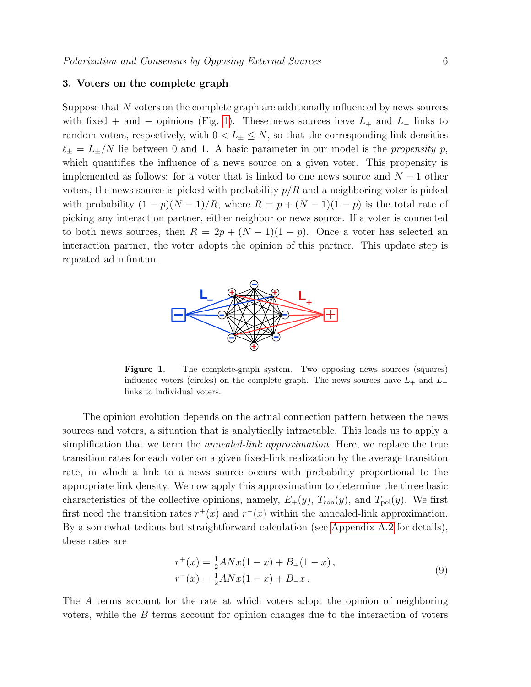# <span id="page-5-0"></span>3. Voters on the complete graph

Suppose that N voters on the complete graph are additionally influenced by news sources with fixed + and − opinions (Fig. [1\)](#page-5-1). These news sources have  $L_+$  and  $L_-$  links to random voters, respectively, with  $0 < L_{\pm} \leq N$ , so that the corresponding link densities  $\ell_{\pm} = L_{\pm}/N$  lie between 0 and 1. A basic parameter in our model is the propensity p, which quantifies the influence of a news source on a given voter. This propensity is implemented as follows: for a voter that is linked to one news source and  $N-1$  other voters, the news source is picked with probability  $p/R$  and a neighboring voter is picked with probability  $(1-p)(N-1)/R$ , where  $R = p + (N-1)(1-p)$  is the total rate of picking any interaction partner, either neighbor or news source. If a voter is connected to both news sources, then  $R = 2p + (N-1)(1-p)$ . Once a voter has selected an interaction partner, the voter adopts the opinion of this partner. This update step is repeated ad infinitum.



<span id="page-5-1"></span>Figure 1. The complete-graph system. Two opposing news sources (squares) influence voters (circles) on the complete graph. The news sources have  $L_+$  and  $L_$ links to individual voters.

The opinion evolution depends on the actual connection pattern between the news sources and voters, a situation that is analytically intractable. This leads us to apply a simplification that we term the *annealed-link approximation*. Here, we replace the true transition rates for each voter on a given fixed-link realization by the average transition rate, in which a link to a news source occurs with probability proportional to the appropriate link density. We now apply this approximation to determine the three basic characteristics of the collective opinions, namely,  $E_{+}(y)$ ,  $T_{\text{con}}(y)$ , and  $T_{\text{pol}}(y)$ . We first first need the transition rates  $r^+(x)$  and  $r^-(x)$  within the annealed-link approximation. By a somewhat tedious but straightforward calculation (see [Appendix A.2](#page-22-1) for details), these rates are

<span id="page-5-2"></span>
$$
r^{+}(x) = \frac{1}{2}ANx(1-x) + B_{+}(1-x),
$$
  
\n
$$
r^{-}(x) = \frac{1}{2}ANx(1-x) + B_{-}x.
$$
\n(9)

The A terms account for the rate at which voters adopt the opinion of neighboring voters, while the  $B$  terms account for opinion changes due to the interaction of voters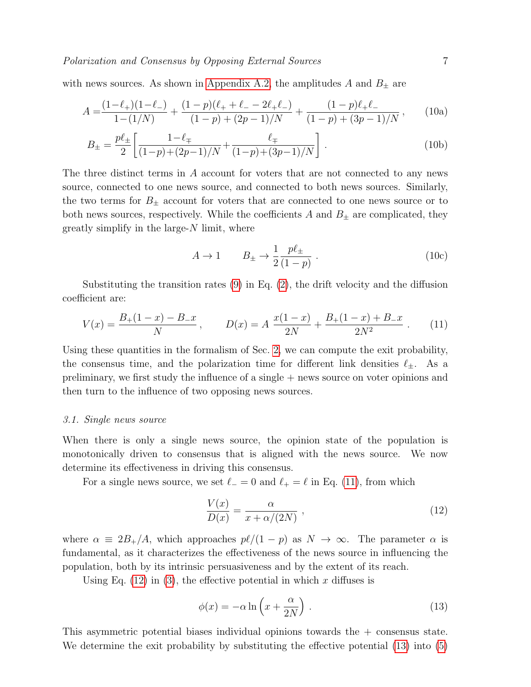with news sources. As shown in [Appendix A.2,](#page-22-1) the amplitudes  $A$  and  $B_\pm$  are

$$
A = \frac{(1 - \ell_+)(1 - \ell_-)}{1 - (1/N)} + \frac{(1 - p)(\ell_+ + \ell_- - 2\ell_+ \ell_-)}{(1 - p) + (2p - 1)/N} + \frac{(1 - p)\ell_+ \ell_-}{(1 - p) + (3p - 1)/N},
$$
(10a)

$$
B_{\pm} = \frac{p\ell_{\pm}}{2} \left[ \frac{1 - \ell_{\mp}}{(1 - p) + (2p - 1)/N} + \frac{\ell_{\mp}}{(1 - p) + (3p - 1)/N} \right].
$$
 (10b)

The three distinct terms in A account for voters that are not connected to any news source, connected to one news source, and connected to both news sources. Similarly, the two terms for  $B_{\pm}$  account for voters that are connected to one news source or to both news sources, respectively. While the coefficients  $A$  and  $B_{\pm}$  are complicated, they greatly simplify in the large- $N$  limit, where

<span id="page-6-3"></span><span id="page-6-0"></span>
$$
A \to 1 \qquad B_{\pm} \to \frac{1}{2} \frac{p\ell_{\pm}}{(1-p)} \ . \tag{10c}
$$

Substituting the transition rates  $(9)$  in Eq.  $(2)$ , the drift velocity and the diffusion coefficient are:

$$
V(x) = \frac{B_+(1-x) - B_-x}{N}, \qquad D(x) = A \frac{x(1-x)}{2N} + \frac{B_+(1-x) + B_-x}{2N^2} \,. \tag{11}
$$

Using these quantities in the formalism of Sec. [2,](#page-2-0) we can compute the exit probability, the consensus time, and the polarization time for different link densities  $\ell_{\pm}$ . As a preliminary, we first study the influence of a single + news source on voter opinions and then turn to the influence of two opposing news sources.

# 3.1. Single news source

When there is only a single news source, the opinion state of the population is monotonically driven to consensus that is aligned with the news source. We now determine its effectiveness in driving this consensus.

For a single news source, we set  $\ell_$  = 0 and  $\ell_+ = \ell$  in Eq. [\(11\)](#page-6-0), from which

<span id="page-6-1"></span>
$$
\frac{V(x)}{D(x)} = \frac{\alpha}{x + \alpha/(2N)} \tag{12}
$$

where  $\alpha \equiv 2B_{+}/A$ , which approaches  $p\ell/(1 - p)$  as  $N \to \infty$ . The parameter  $\alpha$  is fundamental, as it characterizes the effectiveness of the news source in influencing the population, both by its intrinsic persuasiveness and by the extent of its reach.

Using Eq.  $(12)$  in  $(3)$ , the effective potential in which x diffuses is

<span id="page-6-2"></span>
$$
\phi(x) = -\alpha \ln \left( x + \frac{\alpha}{2N} \right) . \tag{13}
$$

This asymmetric potential biases individual opinions towards the + consensus state. We determine the exit probability by substituting the effective potential [\(13\)](#page-6-2) into [\(5\)](#page-3-3)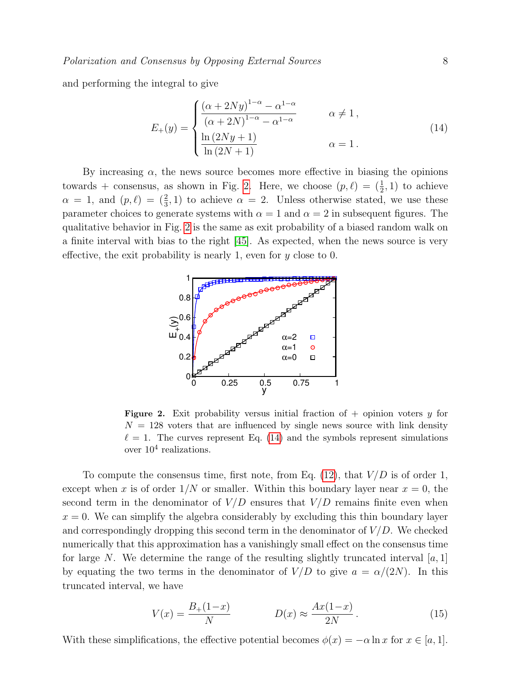and performing the integral to give

<span id="page-7-1"></span>
$$
E_{+}(y) = \begin{cases} \frac{(\alpha + 2Ny)^{1-\alpha} - \alpha^{1-\alpha}}{(\alpha + 2N)^{1-\alpha} - \alpha^{1-\alpha}} & \alpha \neq 1, \\ \frac{\ln(2Ny + 1)}{\ln(2N + 1)} & \alpha = 1. \end{cases}
$$
(14)

By increasing  $\alpha$ , the news source becomes more effective in biasing the opinions towards + consensus, as shown in Fig. [2.](#page-7-0) Here, we choose  $(p, \ell) = (\frac{1}{2}, 1)$  to achieve  $\alpha = 1$ , and  $(p, \ell) = (\frac{2}{3}, 1)$  to achieve  $\alpha = 2$ . Unless otherwise stated, we use these parameter choices to generate systems with  $\alpha = 1$  and  $\alpha = 2$  in subsequent figures. The qualitative behavior in Fig. [2](#page-7-0) is the same as exit probability of a biased random walk on a finite interval with bias to the right [\[45\]](#page-28-15). As expected, when the news source is very effective, the exit probability is nearly 1, even for  $y$  close to 0.



<span id="page-7-0"></span>**Figure 2.** Exit probability versus initial fraction of  $+$  opinion voters y for  $N = 128$  voters that are influenced by single news source with link density  $\ell = 1$ . The curves represent Eq. [\(14\)](#page-7-1) and the symbols represent simulations over  $10^4$  realizations.

To compute the consensus time, first note, from Eq.  $(12)$ , that  $V/D$  is of order 1, except when x is of order  $1/N$  or smaller. Within this boundary layer near  $x = 0$ , the second term in the denominator of  $V/D$  ensures that  $V/D$  remains finite even when  $x = 0$ . We can simplify the algebra considerably by excluding this thin boundary layer and correspondingly dropping this second term in the denominator of  $V/D$ . We checked numerically that this approximation has a vanishingly small effect on the consensus time for large N. We determine the range of the resulting slightly truncated interval  $[a, 1]$ by equating the two terms in the denominator of  $V/D$  to give  $a = \alpha/(2N)$ . In this truncated interval, we have

<span id="page-7-2"></span>
$$
V(x) = \frac{B_+(1-x)}{N} \qquad D(x) \approx \frac{Ax(1-x)}{2N} \,. \tag{15}
$$

With these simplifications, the effective potential becomes  $\phi(x) = -\alpha \ln x$  for  $x \in [a, 1]$ .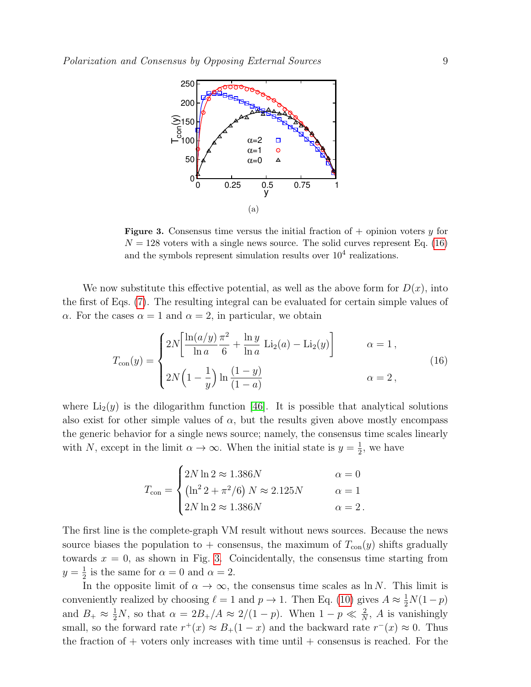

<span id="page-8-1"></span>**Figure 3.** Consensus time versus the initial fraction of  $+$  opinion voters y for  $N = 128$  voters with a single news source. The solid curves represent Eq. [\(16\)](#page-8-0) and the symbols represent simulation results over  $10<sup>4</sup>$  realizations.

We now substitute this effective potential, as well as the above form for  $D(x)$ , into the first of Eqs. [\(7\)](#page-4-1). The resulting integral can be evaluated for certain simple values of  $\alpha$ . For the cases  $\alpha = 1$  and  $\alpha = 2$ , in particular, we obtain

$$
T_{\text{con}}(y) = \begin{cases} 2N \left[ \frac{\ln(a/y)}{\ln a} \frac{\pi^2}{6} + \frac{\ln y}{\ln a} \, \text{Li}_2(a) - \text{Li}_2(y) \right] & \alpha = 1, \\ 2N \left( 1 - \frac{1}{y} \right) \ln \frac{(1 - y)}{(1 - a)} & \alpha = 2, \end{cases}
$$
 (16)

where  $Li_2(y)$  is the dilogarithm function [\[46\]](#page-28-16). It is possible that analytical solutions also exist for other simple values of  $\alpha$ , but the results given above mostly encompass the generic behavior for a single news source; namely, the consensus time scales linearly with N, except in the limit  $\alpha \to \infty$ . When the initial state is  $y = \frac{1}{2}$  $\frac{1}{2}$ , we have

<span id="page-8-0"></span>
$$
T_{\text{con}} = \begin{cases} 2N \ln 2 \approx 1.386N & \alpha = 0\\ \left(\ln^2 2 + \pi^2/6\right) N \approx 2.125N & \alpha = 1\\ 2N \ln 2 \approx 1.386N & \alpha = 2 \end{cases}
$$

The first line is the complete-graph VM result without news sources. Because the news source biases the population to + consensus, the maximum of  $T_{\text{con}}(y)$  shifts gradually towards  $x = 0$ , as shown in Fig. [3.](#page-8-1) Coincidentally, the consensus time starting from  $y=\frac{1}{2}$  $\frac{1}{2}$  is the same for  $\alpha = 0$  and  $\alpha = 2$ .

In the opposite limit of  $\alpha \to \infty$ , the consensus time scales as ln N. This limit is conveniently realized by choosing  $\ell = 1$  and  $p \to 1$ . Then Eq. [\(10\)](#page-6-3) gives  $A \approx \frac{1}{2}N(1-p)$ and  $B_+ \approx \frac{1}{2}N$ , so that  $\alpha = 2B_+/A \approx 2/(1-p)$ . When  $1-p \ll \frac{2}{N}$ , A is vanishingly small, so the forward rate  $r^+(x) \approx B_+(1-x)$  and the backward rate  $r^-(x) \approx 0$ . Thus the fraction of  $+$  voters only increases with time until  $+$  consensus is reached. For the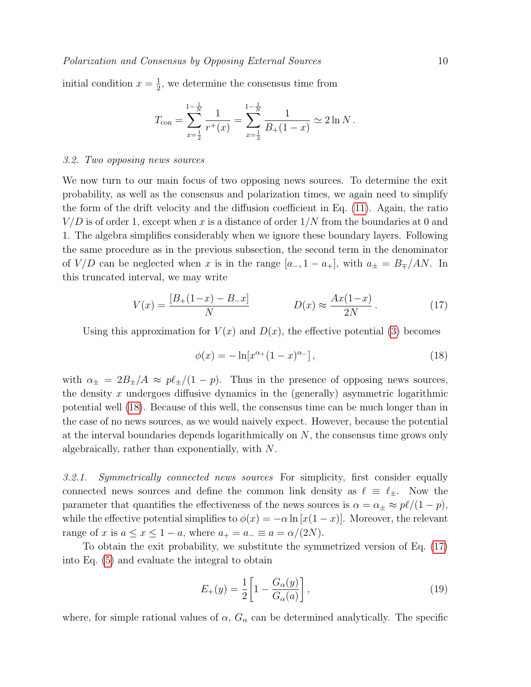initial condition  $x=\frac{1}{2}$  $\frac{1}{2}$ , we determine the consensus time from

$$
T_{\text{con}} = \sum_{x=\frac{1}{2}}^{\frac{1}{N}-\frac{1}{N}} \frac{1}{r^+(x)} = \sum_{x=\frac{1}{2}}^{\frac{1}{N}-\frac{1}{N}} \frac{1}{B_+(1-x)} \simeq 2 \ln N \, .
$$

#### 3.2. Two opposing news sources

We now turn to our main focus of two opposing news sources. To determine the exit probability, as well as the consensus and polarization times, we again need to simplify the form of the drift velocity and the diffusion coefficient in Eq. [\(11\)](#page-6-0). Again, the ratio  $V/D$  is of order 1, except when x is a distance of order  $1/N$  from the boundaries at 0 and 1. The algebra simplifies considerably when we ignore these boundary layers. Following the same procedure as in the previous subsection, the second term in the denominator of  $V/D$  can be neglected when x is in the range  $[a_-, 1 - a_+]$ , with  $a_{\pm} = B_{\mp}/AN$ . In this truncated interval, we may write

$$
V(x) = \frac{[B_+(1-x) - B_x]}{N}
$$
  $D(x) \approx \frac{Ax(1-x)}{2N}$ . (17)

Using this approximation for  $V(x)$  and  $D(x)$ , the effective potential [\(3\)](#page-3-2) becomes

<span id="page-9-1"></span><span id="page-9-0"></span>
$$
\phi(x) = -\ln[x^{\alpha_{+}}(1-x)^{\alpha_{-}}],
$$
\n(18)

with  $\alpha_{\pm} = 2B_{\pm}/A \approx p\ell_{\pm}/(1-p)$ . Thus in the presence of opposing news sources, the density x undergoes diffusive dynamics in the (generally) asymmetric logarithmic potential well [\(18\)](#page-9-0). Because of this well, the consensus time can be much longer than in the case of no news sources, as we would naively expect. However, because the potential at the interval boundaries depends logarithmically on N, the consensus time grows only algebraically, rather than exponentially, with N.

3.2.1. Symmetrically connected news sources For simplicity, first consider equally connected news sources and define the common link density as  $\ell \equiv \ell_{\pm}$ . Now the parameter that quantifies the effectiveness of the news sources is  $\alpha = \alpha_{\pm} \approx p\ell/(1 - p)$ , while the effective potential simplifies to  $\phi(x) = -\alpha \ln [x(1-x)]$ . Moreover, the relevant range of x is  $a \le x \le 1 - a$ , where  $a_+ = a_- \equiv a = \alpha/(2N)$ .

To obtain the exit probability, we substitute the symmetrized version of Eq. [\(17\)](#page-9-1) into Eq. [\(5\)](#page-3-3) and evaluate the integral to obtain

<span id="page-9-2"></span>
$$
E_{+}(y) = \frac{1}{2} \left[ 1 - \frac{G_{\alpha}(y)}{G_{\alpha}(a)} \right],
$$
\n(19)

where, for simple rational values of  $\alpha$ ,  $G_{\alpha}$  can be determined analytically. The specific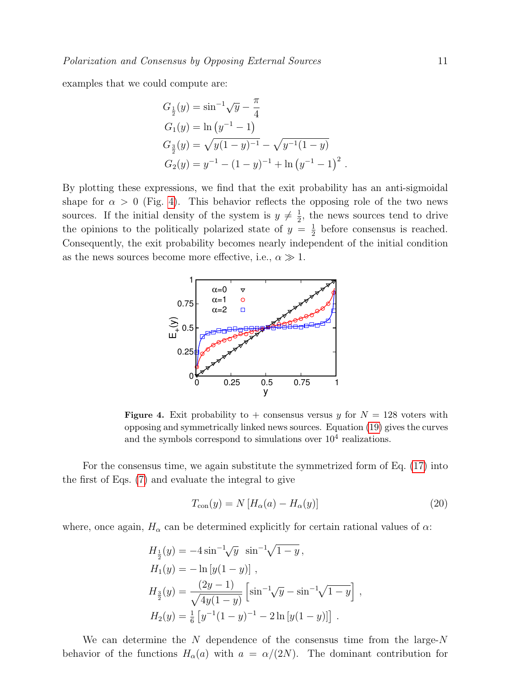examples that we could compute are:

$$
G_{\frac{1}{2}}(y) = \sin^{-1}\sqrt{y} - \frac{\pi}{4}
$$
  
\n
$$
G_1(y) = \ln (y^{-1} - 1)
$$
  
\n
$$
G_{\frac{3}{2}}(y) = \sqrt{y(1 - y)^{-1}} - \sqrt{y^{-1}(1 - y)}
$$
  
\n
$$
G_2(y) = y^{-1} - (1 - y)^{-1} + \ln (y^{-1} - 1)^2.
$$

By plotting these expressions, we find that the exit probability has an anti-sigmoidal shape for  $\alpha > 0$  (Fig. [4\)](#page-10-0). This behavior reflects the opposing role of the two news sources. If the initial density of the system is  $y \neq \frac{1}{2}$  $\frac{1}{2}$ , the news sources tend to drive the opinions to the politically polarized state of  $y = \frac{1}{2}$  $\frac{1}{2}$  before consensus is reached. Consequently, the exit probability becomes nearly independent of the initial condition as the news sources become more effective, i.e.,  $\alpha \gg 1$ .



<span id="page-10-0"></span>Figure 4. Exit probability to + consensus versus y for  $N = 128$  voters with opposing and symmetrically linked news sources. Equation [\(19\)](#page-9-2) gives the curves and the symbols correspond to simulations over  $10<sup>4</sup>$  realizations.

For the consensus time, we again substitute the symmetrized form of Eq. [\(17\)](#page-9-1) into the first of Eqs. [\(7\)](#page-4-1) and evaluate the integral to give

<span id="page-10-1"></span>
$$
T_{\text{con}}(y) = N \left[ H_{\alpha}(a) - H_{\alpha}(y) \right] \tag{20}
$$

where, once again,  $H_{\alpha}$  can be determined explicitly for certain rational values of  $\alpha$ :

$$
H_{\frac{1}{2}}(y) = -4 \sin^{-1} \sqrt{y} \sin^{-1} \sqrt{1-y},
$$
  
\n
$$
H_1(y) = -\ln[y(1-y)] ,
$$
  
\n
$$
H_{\frac{3}{2}}(y) = \frac{(2y-1)}{\sqrt{4y(1-y)}} \left[ \sin^{-1} \sqrt{y} - \sin^{-1} \sqrt{1-y} \right] ,
$$
  
\n
$$
H_2(y) = \frac{1}{6} \left[ y^{-1} (1-y)^{-1} - 2 \ln[y(1-y)] \right] .
$$

We can determine the  $N$  dependence of the consensus time from the large- $N$ behavior of the functions  $H_{\alpha}(a)$  with  $a = \alpha/(2N)$ . The dominant contribution for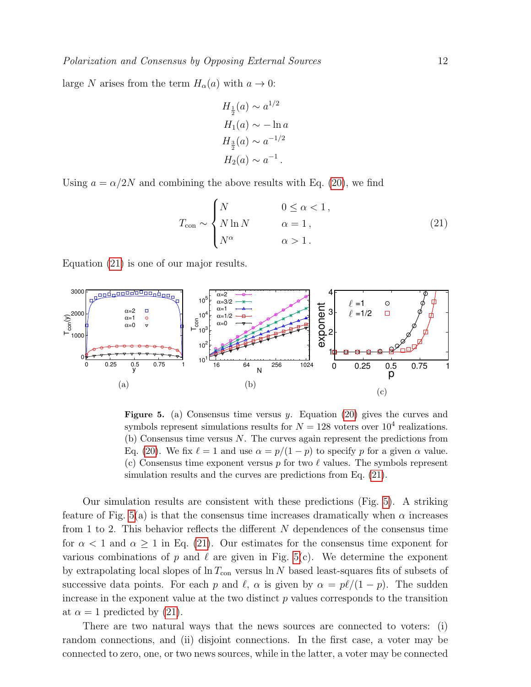large N arises from the term  $H_{\alpha}(a)$  with  $a \to 0$ :

<span id="page-11-0"></span>
$$
H_{\frac{1}{2}}(a) \sim a^{1/2}
$$
  
\n
$$
H_1(a) \sim -\ln a
$$
  
\n
$$
H_{\frac{3}{2}}(a) \sim a^{-1/2}
$$
  
\n
$$
H_2(a) \sim a^{-1}.
$$

Using  $a = \alpha/2N$  and combining the above results with Eq. [\(20\)](#page-10-1), we find

$$
T_{\text{con}} \sim \begin{cases} N & 0 \le \alpha < 1, \\ N \ln N & \alpha = 1, \\ N^{\alpha} & \alpha > 1. \end{cases}
$$
 (21)

Equation [\(21\)](#page-11-0) is one of our major results.



<span id="page-11-1"></span>**Figure 5.** (a) Consensus time versus y. Equation [\(20\)](#page-10-1) gives the curves and symbols represent simulations results for  $N = 128$  voters over  $10^4$  realizations. (b) Consensus time versus N. The curves again represent the predictions from Eq. [\(20\)](#page-10-1). We fix  $\ell = 1$  and use  $\alpha = p/(1 - p)$  to specify p for a given  $\alpha$  value. (c) Consensus time exponent versus p for two  $\ell$  values. The symbols represent simulation results and the curves are predictions from Eq. [\(21\)](#page-11-0).

Our simulation results are consistent with these predictions (Fig. [5\)](#page-11-1). A striking feature of Fig. [5\(](#page-11-1)a) is that the consensus time increases dramatically when  $\alpha$  increases from 1 to 2. This behavior reflects the different N dependences of the consensus time for  $\alpha < 1$  and  $\alpha \geq 1$  in Eq. [\(21\)](#page-11-0). Our estimates for the consensus time exponent for various combinations of p and  $\ell$  are given in Fig. [5\(](#page-11-1)c). We determine the exponent by extrapolating local slopes of  $\ln T_{\text{con}}$  versus  $\ln N$  based least-squares fits of subsets of successive data points. For each p and  $\ell$ ,  $\alpha$  is given by  $\alpha = p\ell/(1 - p)$ . The sudden increase in the exponent value at the two distinct  $p$  values corresponds to the transition at  $\alpha = 1$  predicted by [\(21\)](#page-11-0).

There are two natural ways that the news sources are connected to voters: (i) random connections, and (ii) disjoint connections. In the first case, a voter may be connected to zero, one, or two news sources, while in the latter, a voter may be connected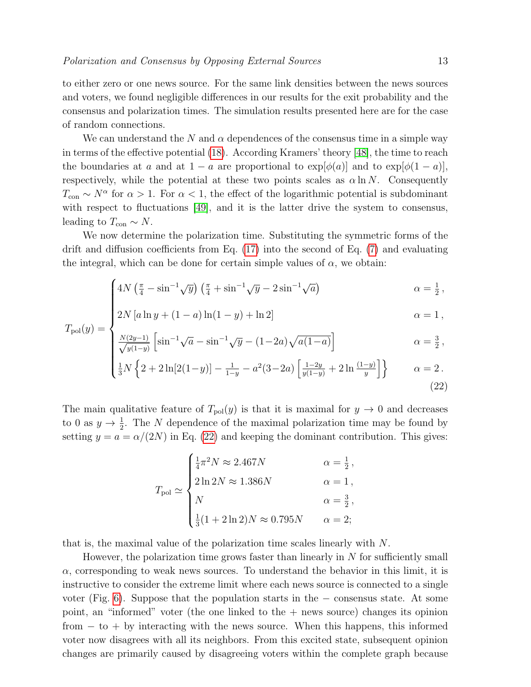to either zero or one news source. For the same link densities between the news sources and voters, we found negligible differences in our results for the exit probability and the consensus and polarization times. The simulation results presented here are for the case of random connections.

We can understand the N and  $\alpha$  dependences of the consensus time in a simple way in terms of the effective potential [\(18\)](#page-9-0). According Kramers' theory [\[48\]](#page-28-17), the time to reach the boundaries at a and at  $1 - a$  are proportional to  $\exp[\phi(a)]$  and to  $\exp[\phi(1 - a)]$ , respectively, while the potential at these two points scales as  $\alpha \ln N$ . Consequently  $T_{\text{con}} \sim N^{\alpha}$  for  $\alpha > 1$ . For  $\alpha < 1$ , the effect of the logarithmic potential is subdominant with respect to fluctuations [\[49\]](#page-28-18), and it is the latter drive the system to consensus, leading to  $T_{\text{con}} \sim N$ .

We now determine the polarization time. Substituting the symmetric forms of the drift and diffusion coefficients from Eq. [\(17\)](#page-9-1) into the second of Eq. [\(7\)](#page-4-1) and evaluating the integral, which can be done for certain simple values of  $\alpha$ , we obtain:

$$
\int 4N\left(\frac{\pi}{4} - \sin^{-1}\sqrt{y}\right)\left(\frac{\pi}{4} + \sin^{-1}\sqrt{y} - 2\sin^{-1}\sqrt{a}\right) \qquad \alpha = \frac{1}{2},
$$

$$
\alpha = \frac{1}{2},
$$
  
\n
$$
\alpha = \frac{1}{2},
$$
  
\n
$$
\alpha = 1,
$$
  
\n
$$
\alpha = 1,
$$
  
\n
$$
\alpha = 1,
$$

$$
\begin{aligned}\n\alpha &= \frac{N(2y-1)}{\sqrt{y(1-y)}} \left[ \sin^{-1} \sqrt{a} - \sin^{-1} \sqrt{y} - (1-2a) \sqrt{a(1-a)} \right] \\
\alpha &= \frac{3}{2} \,, \\
\frac{1}{3} N \left\{ 2 + 2 \ln[2(1-y)] - \frac{1}{1-y} - a^2 (3-2a) \left[ \frac{1-2y}{y(1-y)} + 2 \ln \frac{(1-y)}{y} \right] \right\} \\
\alpha &= 2 \,. \n\end{aligned}
$$

$$
\left\{ \frac{1}{3}N \left\{ 2 + 2\ln[2(1-y)] - \frac{1}{1-y} - a^2(3-2a) \left[ \frac{1-2y}{y(1-y)} + 2\ln\frac{(1-y)}{y} \right] \right\} \right\} \qquad \alpha = 2.
$$
\n(22)

The main qualitative feature of  $T_{pol}(y)$  is that it is maximal for  $y \to 0$  and decreases to 0 as  $y \to \frac{1}{2}$ . The N dependence of the maximal polarization time may be found by setting  $y = a = \alpha/(2N)$  in Eq. [\(22\)](#page-12-0) and keeping the dominant contribution. This gives:

<span id="page-12-0"></span>
$$
T_{\text{pol}} \simeq \begin{cases} \frac{1}{4}\pi^2 N \approx 2.467N & \alpha = \frac{1}{2}, \\ 2\ln 2N \approx 1.386N & \alpha = 1, \\ N & \alpha = \frac{3}{2}, \\ \frac{1}{3}(1+2\ln 2)N \approx 0.795N & \alpha = 2; \end{cases}
$$

that is, the maximal value of the polarization time scales linearly with N.

However, the polarization time grows faster than linearly in  $N$  for sufficiently small  $\alpha$ , corresponding to weak news sources. To understand the behavior in this limit, it is instructive to consider the extreme limit where each news source is connected to a single voter (Fig. [6\)](#page-13-0). Suppose that the population starts in the − consensus state. At some point, an "informed" voter (the one linked to the  $+$  news source) changes its opinion  $from - to + by interacting with the news source. When this happens, this informed$ voter now disagrees with all its neighbors. From this excited state, subsequent opinion changes are primarily caused by disagreeing voters within the complete graph because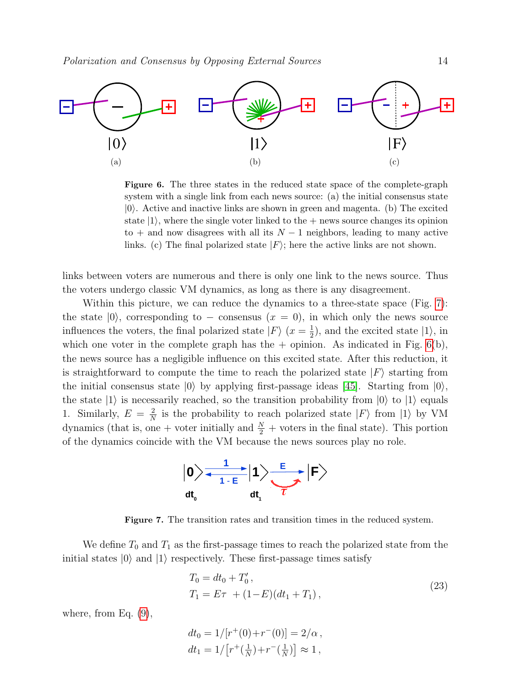

<span id="page-13-0"></span>Figure 6. The three states in the reduced state space of the complete-graph system with a single link from each news source: (a) the initial consensus state  $|0\rangle$ . Active and inactive links are shown in green and magenta. (b) The excited state  $|1\rangle$ , where the single voter linked to the  $+$  news source changes its opinion to + and now disagrees with all its  $N-1$  neighbors, leading to many active links. (c) The final polarized state  $|F\rangle$ ; here the active links are not shown.

links between voters are numerous and there is only one link to the news source. Thus the voters undergo classic VM dynamics, as long as there is any disagreement.

Within this picture, we can reduce the dynamics to a three-state space (Fig. [7\)](#page-13-1): the state  $|0\rangle$ , corresponding to – consensus  $(x = 0)$ , in which only the news source influences the voters, the final polarized state  $|F\rangle$   $(x=\frac{1}{2})$  $(\frac{1}{2})$ , and the excited state  $|1\rangle$ , in which one voter in the complete graph has the  $+$  opinion. As indicated in Fig. [6\(](#page-13-0)b), the news source has a negligible influence on this excited state. After this reduction, it is straightforward to compute the time to reach the polarized state  $|F\rangle$  starting from the initial consensus state  $|0\rangle$  by applying first-passage ideas [\[45\]](#page-28-15). Starting from  $|0\rangle$ , the state  $|1\rangle$  is necessarily reached, so the transition probability from  $|0\rangle$  to  $|1\rangle$  equals 1. Similarly,  $E = \frac{2}{\lambda}$  $\frac{2}{N}$  is the probability to reach polarized state  $|F\rangle$  from  $|1\rangle$  by VM dynamics (that is, one + voter initially and  $\frac{N}{2}$  + voters in the final state). This portion of the dynamics coincide with the VM because the news sources play no role.



<span id="page-13-1"></span>Figure 7. The transition rates and transition times in the reduced system.

We define  $T_0$  and  $T_1$  as the first-passage times to reach the polarized state from the initial states  $|0\rangle$  and  $|1\rangle$  respectively. These first-passage times satisfy

<span id="page-13-2"></span>
$$
T_0 = dt_0 + T'_0,
$$
  
\n
$$
T_1 = E\tau + (1 - E)(dt_1 + T_1),
$$
\n(23)

where, from Eq. [\(9\)](#page-5-2),

$$
dt_0 = 1/[r^+(0) + r^-(0)] = 2/\alpha ,
$$
  
\n
$$
dt_1 = 1/[r^+(\frac{1}{N}) + r^-(\frac{1}{N})] \approx 1 ,
$$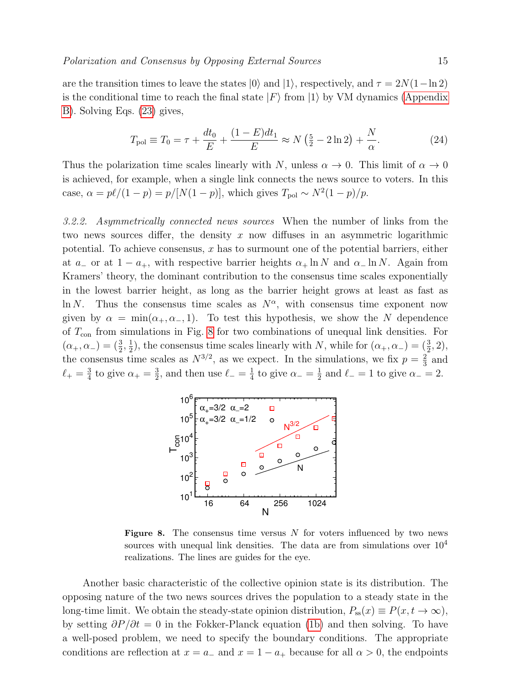are the transition times to leave the states  $|0\rangle$  and  $|1\rangle$ , respectively, and  $\tau = 2N(1-\ln 2)$ is the conditional time to reach the final state  $|F\rangle$  from  $|1\rangle$  by VM dynamics [\(Appendix](#page-25-0) [B\)](#page-25-0). Solving Eqs. [\(23\)](#page-13-2) gives,

<span id="page-14-1"></span>
$$
T_{\text{pol}} \equiv T_0 = \tau + \frac{dt_0}{E} + \frac{(1 - E)dt_1}{E} \approx N\left(\frac{5}{2} - 2\ln 2\right) + \frac{N}{\alpha}.\tag{24}
$$

Thus the polarization time scales linearly with N, unless  $\alpha \to 0$ . This limit of  $\alpha \to 0$ is achieved, for example, when a single link connects the news source to voters. In this case,  $\alpha = p\ell/(1 - p) = p/[N(1 - p)]$ , which gives  $T_{\text{pol}} \sim N^2(1 - p)/p$ .

3.2.2. Asymmetrically connected news sources When the number of links from the two news sources differ, the density x now diffuses in an asymmetric logarithmic potential. To achieve consensus,  $x$  has to surmount one of the potential barriers, either at  $a_$  or at  $1 - a_+$ , with respective barrier heights  $\alpha_+ \ln N$  and  $\alpha_- \ln N$ . Again from Kramers' theory, the dominant contribution to the consensus time scales exponentially in the lowest barrier height, as long as the barrier height grows at least as fast as ln N. Thus the consensus time scales as  $N^{\alpha}$ , with consensus time exponent now given by  $\alpha = \min(\alpha_+, \alpha_-, 1)$ . To test this hypothesis, we show the N dependence of  $T_{\text{con}}$  from simulations in Fig. [8](#page-14-0) for two combinations of unequal link densities. For  $(\alpha_{+}, \alpha_{-}) = (\frac{3}{2}, \frac{1}{2})$  $\frac{1}{2}$ , the consensus time scales linearly with N, while for  $(\alpha_+, \alpha_-) = (\frac{3}{2}, 2)$ , the consensus time scales as  $N^{3/2}$ , as we expect. In the simulations, we fix  $p = \frac{2}{3}$  $rac{2}{3}$  and  $\ell_{+} = \frac{3}{4}$  $\frac{3}{4}$  to give  $\alpha_+ = \frac{3}{2}$  $\frac{3}{2}$ , and then use  $\ell_- = \frac{1}{4}$  $\frac{1}{4}$  to give  $\alpha_-=\frac{1}{2}$  $\frac{1}{2}$  and  $\ell_- = 1$  to give  $\alpha_- = 2$ .



<span id="page-14-0"></span>Figure 8. The consensus time versus  $N$  for voters influenced by two news sources with unequal link densities. The data are from simulations over  $10^4$ realizations. The lines are guides for the eye.

Another basic characteristic of the collective opinion state is its distribution. The opposing nature of the two news sources drives the population to a steady state in the long-time limit. We obtain the steady-state opinion distribution,  $P_{ss}(x) \equiv P(x, t \to \infty)$ , by setting  $\partial P / \partial t = 0$  in the Fokker-Planck equation [\(1b\)](#page-3-4) and then solving. To have a well-posed problem, we need to specify the boundary conditions. The appropriate conditions are reflection at  $x = a_-\text{ and } x = 1 - a_+\text{ because for all } \alpha > 0$ , the endpoints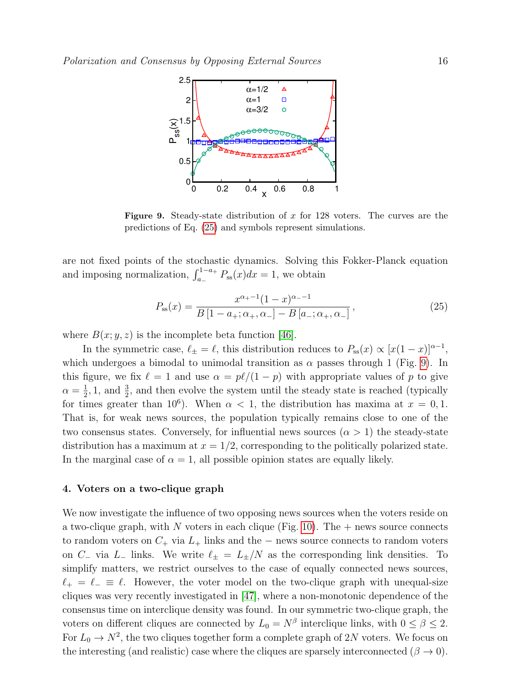

<span id="page-15-2"></span>**Figure 9.** Steady-state distribution of x for 128 voters. The curves are the predictions of Eq. [\(25\)](#page-15-1) and symbols represent simulations.

are not fixed points of the stochastic dynamics. Solving this Fokker-Planck equation and imposing normalization,  $\int_{a_{-}}^{1-a_{+}} P_{ss}(x)dx = 1$ , we obtain

<span id="page-15-1"></span>
$$
P_{\rm ss}(x) = \frac{x^{\alpha_+ - 1}(1 - x)^{\alpha_- - 1}}{B\left[1 - a_+; \alpha_+, \alpha_- \right] - B\left[a_-; \alpha_+, \alpha_- \right]},\tag{25}
$$

where  $B(x; y, z)$  is the incomplete beta function [\[46\]](#page-28-16).

In the symmetric case,  $\ell_{\pm} = \ell$ , this distribution reduces to  $P_{ss}(x) \propto [x(1-x)]^{\alpha-1}$ , which undergoes a bimodal to unimodal transition as  $\alpha$  passes through 1 (Fig. [9\)](#page-15-2). In this figure, we fix  $\ell = 1$  and use  $\alpha = p\ell/(1 - p)$  with appropriate values of p to give  $\alpha = \frac{1}{2}$  $\frac{1}{2}$ , 1, and  $\frac{3}{2}$ , and then evolve the system until the steady state is reached (typically for times greater than 10<sup>6</sup>). When  $\alpha < 1$ , the distribution has maxima at  $x = 0, 1$ . That is, for weak news sources, the population typically remains close to one of the two consensus states. Conversely, for influential news sources  $(\alpha > 1)$  the steady-state distribution has a maximum at  $x = 1/2$ , corresponding to the politically polarized state. In the marginal case of  $\alpha = 1$ , all possible opinion states are equally likely.

#### <span id="page-15-0"></span>4. Voters on a two-clique graph

We now investigate the influence of two opposing news sources when the voters reside on a two-clique graph, with N voters in each clique (Fig. [10\)](#page-16-0). The  $+$  news source connects to random voters on  $C_+$  via  $L_+$  links and the – news source connects to random voters on C<sub>−</sub> via L<sub>−</sub> links. We write  $\ell_{\pm} = L_{\pm}/N$  as the corresponding link densities. To simplify matters, we restrict ourselves to the case of equally connected news sources,  $\ell_+ = \ell_- \equiv \ell$ . However, the voter model on the two-clique graph with unequal-size cliques was very recently investigated in [\[47\]](#page-28-19), where a non-monotonic dependence of the consensus time on interclique density was found. In our symmetric two-clique graph, the voters on different cliques are connected by  $L_0 = N^{\beta}$  interclique links, with  $0 \le \beta \le 2$ . For  $L_0 \to N^2$ , the two cliques together form a complete graph of 2N voters. We focus on the interesting (and realistic) case where the cliques are sparsely interconnected ( $\beta \rightarrow 0$ ).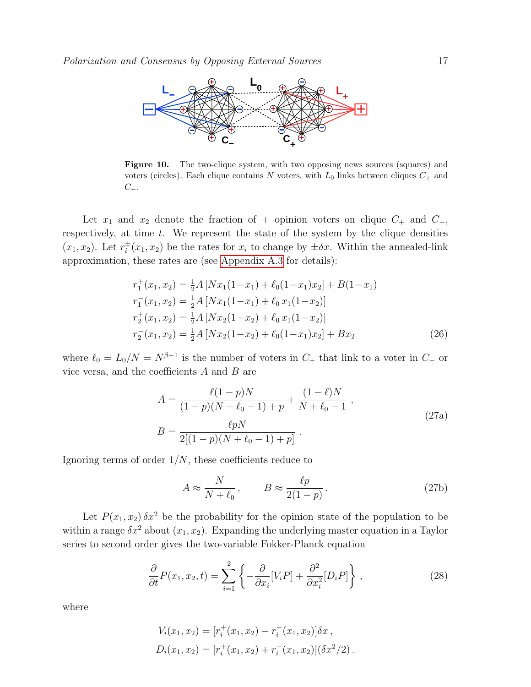

<span id="page-16-0"></span>Figure 10. The two-clique system, with two opposing news sources (squares) and voters (circles). Each clique contains N voters, with  $L_0$  links between cliques  $C_+$  and  $C_-\,$ 

Let  $x_1$  and  $x_2$  denote the fraction of + opinion voters on clique  $C_+$  and  $C_-,$ respectively, at time  $t$ . We represent the state of the system by the clique densities  $(x_1, x_2)$ . Let  $r_i^{\pm}$  $i^{\pm}(x_1, x_2)$  be the rates for  $x_i$  to change by  $\pm \delta x$ . Within the annealed-link approximation, these rates are (see [Appendix A.3](#page-24-0) for details):

$$
r_1^+(x_1, x_2) = \frac{1}{2}A [Nx_1(1-x_1) + \ell_0(1-x_1)x_2] + B(1-x_1)
$$
  
\n
$$
r_1^-(x_1, x_2) = \frac{1}{2}A [Nx_1(1-x_1) + \ell_0 x_1(1-x_2)]
$$
  
\n
$$
r_2^+(x_1, x_2) = \frac{1}{2}A [Nx_2(1-x_2) + \ell_0 x_1(1-x_2)]
$$
  
\n
$$
r_2^-(x_1, x_2) = \frac{1}{2}A [Nx_2(1-x_2) + \ell_0(1-x_1)x_2] + Bx_2
$$
\n(26)

where  $\ell_0 = L_0/N = N^{\beta-1}$  is the number of voters in  $C_+$  that link to a voter in  $C_-$  or vice versa, and the coefficients  $A$  and  $B$  are

<span id="page-16-2"></span><span id="page-16-1"></span>
$$
A = \frac{\ell(1-p)N}{(1-p)(N+\ell_0-1)+p} + \frac{(1-\ell)N}{N+\ell_0-1},
$$
  
\n
$$
B = \frac{\ell pN}{2[(1-p)(N+\ell_0-1)+p]}.
$$
\n(27a)

Ignoring terms of order  $1/N$ , these coefficients reduce to

$$
A \approx \frac{N}{N + \ell_0}, \qquad B \approx \frac{\ell p}{2(1 - p)}.
$$
 (27b)

Let  $P(x_1, x_2) \, \delta x^2$  be the probability for the opinion state of the population to be within a range  $\delta x^2$  about  $(x_1, x_2)$ . Expanding the underlying master equation in a Taylor series to second order gives the two-variable Fokker-Planck equation

$$
\frac{\partial}{\partial t}P(x_1, x_2, t) = \sum_{i=1}^2 \left\{ -\frac{\partial}{\partial x_i} [V_i P] + \frac{\partial^2}{\partial x_i^2} [D_i P] \right\},\tag{28}
$$

where

$$
V_i(x_1, x_2) = [r_i^+(x_1, x_2) - r_i^-(x_1, x_2)]\delta x,
$$
  

$$
D_i(x_1, x_2) = [r_i^+(x_1, x_2) + r_i^-(x_1, x_2)](\delta x^2/2).
$$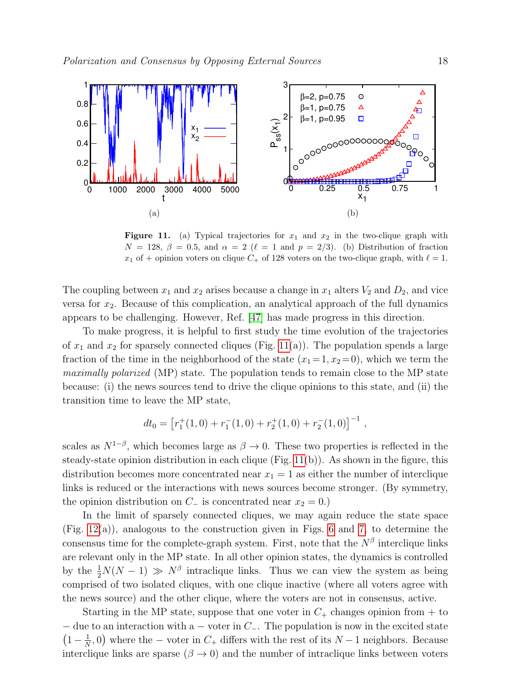

<span id="page-17-0"></span>Figure 11. (a) Typical trajectories for  $x_1$  and  $x_2$  in the two-clique graph with  $N = 128, \beta = 0.5, \text{ and } \alpha = 2 \ (\ell = 1 \text{ and } p = 2/3).$  (b) Distribution of fraction  $x_1$  of + opinion voters on clique  $C_+$  of 128 voters on the two-clique graph, with  $\ell = 1$ .

The coupling between  $x_1$  and  $x_2$  arises because a change in  $x_1$  alters  $V_2$  and  $D_2$ , and vice versa for  $x_2$ . Because of this complication, an analytical approach of the full dynamics appears to be challenging. However, Ref. [\[47\]](#page-28-19) has made progress in this direction.

To make progress, it is helpful to first study the time evolution of the trajectories of  $x_1$  and  $x_2$  for sparsely connected cliques (Fig. [11\(](#page-17-0)a)). The population spends a large fraction of the time in the neighborhood of the state  $(x_1 = 1, x_2 = 0)$ , which we term the maximally polarized (MP) state. The population tends to remain close to the MP state because: (i) the news sources tend to drive the clique opinions to this state, and (ii) the transition time to leave the MP state,

$$
dt_0 = [r_1^+(1,0) + r_1^-(1,0) + r_2^+(1,0) + r_2^-(1,0)]^{-1},
$$

scales as  $N^{1-\beta}$ , which becomes large as  $\beta \to 0$ . These two properties is reflected in the steady-state opinion distribution in each clique (Fig.  $11(b)$ ). As shown in the figure, this distribution becomes more concentrated near  $x_1 = 1$  as either the number of interclique links is reduced or the interactions with news sources become stronger. (By symmetry, the opinion distribution on  $C_$  is concentrated near  $x_2 = 0$ .)

In the limit of sparsely connected cliques, we may again reduce the state space (Fig. [12\(](#page-18-0)a)), analogous to the construction given in Figs. [6](#page-13-0) and [7,](#page-13-1) to determine the consensus time for the complete-graph system. First, note that the  $N^{\beta}$  interclique links are relevant only in the MP state. In all other opinion states, the dynamics is controlled by the  $\frac{1}{2}N(N-1) \gg N^{\beta}$  intraclique links. Thus we can view the system as being comprised of two isolated cliques, with one clique inactive (where all voters agree with the news source) and the other clique, where the voters are not in consensus, active.

Starting in the MP state, suppose that one voter in  $C_+$  changes opinion from  $+$  to  $-$  due to an interaction with a  $-$  voter in  $C_-\$ . The population is now in the excited state  $\left(1-\frac{1}{\lambda}\right)$  $\frac{1}{N}$ , 0) where the – voter in  $C_+$  differs with the rest of its  $N-1$  neighbors. Because interclique links are sparse ( $\beta \rightarrow 0$ ) and the number of intraclique links between voters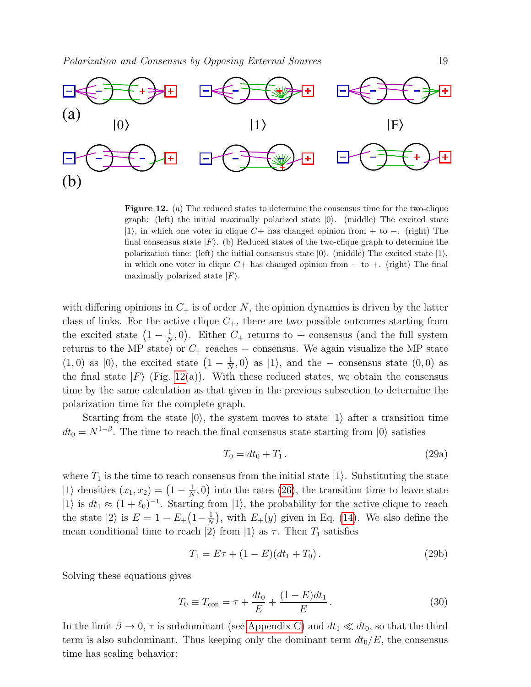

<span id="page-18-0"></span>Figure 12. (a) The reduced states to determine the consensus time for the two-clique graph: (left) the initial maximally polarized state  $|0\rangle$ . (middle) The excited state |1\; in which one voter in clique  $C+$  has changed opinion from + to −. (right) The final consensus state  $|F\rangle$ . (b) Reduced states of the two-clique graph to determine the polarization time: (left) the initial consensus state  $|0\rangle$ . (middle) The excited state  $|1\rangle$ , in which one voter in clique  $C+$  has changed opinion from  $-$  to  $+$ . (right) The final maximally polarized state  $|F\rangle$ .

with differing opinions in  $C_+$  is of order N, the opinion dynamics is driven by the latter class of links. For the active clique  $C_{+}$ , there are two possible outcomes starting from the excited state  $\left(1-\frac{1}{N}\right)$  $\frac{1}{N}$ , 0). Either  $C_+$  returns to + consensus (and the full system returns to the MP state) or  $C_+$  reaches – consensus. We again visualize the MP state  $(1,0)$  as  $|0\rangle$ , the excited state  $\left(1-\frac{1}{N}\right)$  $\frac{1}{N}$ , 0) as  $|1\rangle$ , and the – consensus state  $(0,0)$  as the final state  $|F\rangle$  (Fig. [12\(](#page-18-0)a)). With these reduced states, we obtain the consensus time by the same calculation as that given in the previous subsection to determine the polarization time for the complete graph.

Starting from the state  $|0\rangle$ , the system moves to state  $|1\rangle$  after a transition time  $dt_0 = N^{1-\beta}$ . The time to reach the final consensus state starting from  $|0\rangle$  satisfies

$$
T_0 = dt_0 + T_1. \t\t(29a)
$$

where  $T_1$  is the time to reach consensus from the initial state  $|1\rangle$ . Substituting the state  $|1\rangle$  densities  $(x_1, x_2) = \left(1 - \frac{1}{N}\right)$  $\frac{1}{N}$ , 0) into the rates [\(26\)](#page-16-1), the transition time to leave state  $|1\rangle$  is  $dt_1 \approx (1 + \ell_0)^{-1}$ . Starting from  $|1\rangle$ , the probability for the active clique to reach the state  $|2\rangle$  is  $E = 1 - E_+(1 - \frac{1}{N})$  $\frac{1}{N}$ , with  $E_+(y)$  given in Eq. [\(14\)](#page-7-1). We also define the mean conditional time to reach  $|2\rangle$  from  $|1\rangle$  as  $\tau$ . Then  $T_1$  satisfies

<span id="page-18-1"></span>
$$
T_1 = E\tau + (1 - E)(dt_1 + T_0). \tag{29b}
$$

Solving these equations gives

$$
T_0 \equiv T_{\text{con}} = \tau + \frac{dt_0}{E} + \frac{(1 - E)dt_1}{E} \,. \tag{30}
$$

In the limit  $\beta \to 0$ ,  $\tau$  is subdominant (see [Appendix C\)](#page-26-0) and  $dt_1 \ll dt_0$ , so that the third term is also subdominant. Thus keeping only the dominant term  $dt_0/E$ , the consensus time has scaling behavior: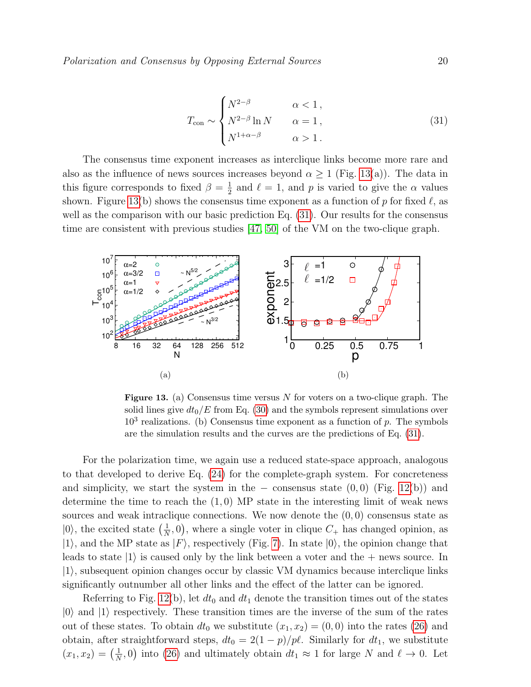<span id="page-19-1"></span>
$$
T_{\text{con}} \sim \begin{cases} N^{2-\beta} & \alpha < 1, \\ N^{2-\beta} \ln N & \alpha = 1, \\ N^{1+\alpha-\beta} & \alpha > 1. \end{cases}
$$
 (31)

The consensus time exponent increases as interclique links become more rare and also as the influence of news sources increases beyond  $\alpha \geq 1$  (Fig. [13\(](#page-19-0)a)). The data in this figure corresponds to fixed  $\beta = \frac{1}{2}$  $\frac{1}{2}$  and  $\ell = 1$ , and p is varied to give the  $\alpha$  values shown. Figure [13\(](#page-19-0)b) shows the consensus time exponent as a function of p for fixed  $\ell$ , as well as the comparison with our basic prediction Eq.  $(31)$ . Our results for the consensus time are consistent with previous studies [\[47,](#page-28-19) [50\]](#page-28-20) of the VM on the two-clique graph.



<span id="page-19-0"></span>**Figure 13.** (a) Consensus time versus  $N$  for voters on a two-clique graph. The solid lines give  $dt_0/E$  from Eq. [\(30\)](#page-18-1) and the symbols represent simulations over  $10<sup>3</sup>$  realizations. (b) Consensus time exponent as a function of p. The symbols are the simulation results and the curves are the predictions of Eq. [\(31\)](#page-19-1).

For the polarization time, we again use a reduced state-space approach, analogous to that developed to derive Eq. [\(24\)](#page-14-1) for the complete-graph system. For concreteness and simplicity, we start the system in the  $-$  consensus state  $(0,0)$  (Fig. [12\(](#page-18-0)b)) and determine the time to reach the  $(1,0)$  MP state in the interesting limit of weak news sources and weak intraclique connections. We now denote the  $(0, 0)$  consensus state as  $|0\rangle$ , the excited state  $\left(\frac{1}{N}\right)$  $(\frac{1}{N}, 0)$ , where a single voter in clique  $C_+$  has changed opinion, as  $|1\rangle$ , and the MP state as  $|F\rangle$ , respectively (Fig. [7\)](#page-13-1). In state  $|0\rangle$ , the opinion change that leads to state  $|1\rangle$  is caused only by the link between a voter and the  $+$  news source. In  $|1\rangle$ , subsequent opinion changes occur by classic VM dynamics because interclique links significantly outnumber all other links and the effect of the latter can be ignored.

Referring to Fig. [12\(](#page-18-0)b), let  $dt_0$  and  $dt_1$  denote the transition times out of the states  $|0\rangle$  and  $|1\rangle$  respectively. These transition times are the inverse of the sum of the rates out of these states. To obtain  $dt_0$  we substitute  $(x_1, x_2) = (0, 0)$  into the rates [\(26\)](#page-16-1) and obtain, after straightforward steps,  $dt_0 = 2(1 - p)/p\ell$ . Similarly for  $dt_1$ , we substitute  $(x_1, x_2) = \left(\frac{1}{N}\right)$  $\frac{1}{N}$ , 0) into [\(26\)](#page-16-1) and ultimately obtain  $dt_1 \approx 1$  for large N and  $\ell \to 0$ . Let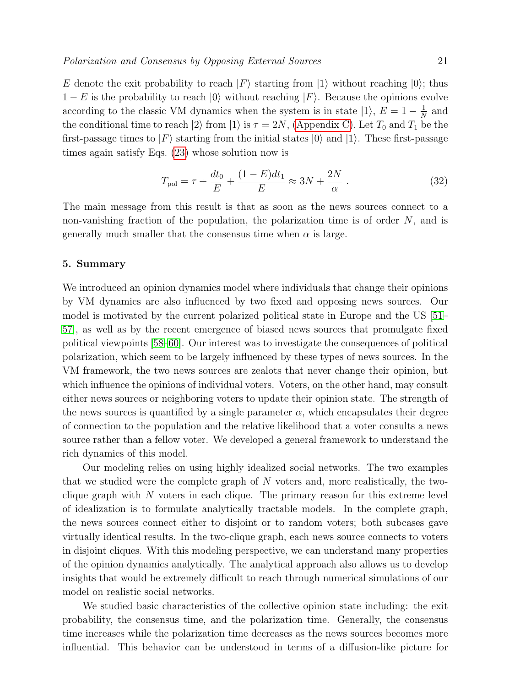E denote the exit probability to reach  $|F\rangle$  starting from  $|1\rangle$  without reaching  $|0\rangle$ ; thus  $1-E$  is the probability to reach  $|0\rangle$  without reaching  $|F\rangle$ . Because the opinions evolve according to the classic VM dynamics when the system is in state  $|1\rangle$ ,  $E = 1 - \frac{1}{N}$  $\frac{1}{N}$  and the conditional time to reach  $|2\rangle$  from  $|1\rangle$  is  $\tau = 2N$ , [\(Appendix C\)](#page-26-0). Let  $T_0$  and  $T_1$  be the first-passage times to  $|F\rangle$  starting from the initial states  $|0\rangle$  and  $|1\rangle$ . These first-passage times again satisfy Eqs. [\(23\)](#page-13-2) whose solution now is

<span id="page-20-1"></span>
$$
T_{\text{pol}} = \tau + \frac{dt_0}{E} + \frac{(1 - E)dt_1}{E} \approx 3N + \frac{2N}{\alpha} \,. \tag{32}
$$

The main message from this result is that as soon as the news sources connect to a non-vanishing fraction of the population, the polarization time is of order  $N$ , and is generally much smaller that the consensus time when  $\alpha$  is large.

# <span id="page-20-0"></span>5. Summary

We introduced an opinion dynamics model where individuals that change their opinions by VM dynamics are also influenced by two fixed and opposing news sources. Our model is motivated by the current polarized political state in Europe and the US [\[51–](#page-29-0) [57\]](#page-29-1), as well as by the recent emergence of biased news sources that promulgate fixed political viewpoints [\[58–](#page-29-2)[60\]](#page-29-3). Our interest was to investigate the consequences of political polarization, which seem to be largely influenced by these types of news sources. In the VM framework, the two news sources are zealots that never change their opinion, but which influence the opinions of individual voters. Voters, on the other hand, may consult either news sources or neighboring voters to update their opinion state. The strength of the news sources is quantified by a single parameter  $\alpha$ , which encapsulates their degree of connection to the population and the relative likelihood that a voter consults a news source rather than a fellow voter. We developed a general framework to understand the rich dynamics of this model.

Our modeling relies on using highly idealized social networks. The two examples that we studied were the complete graph of N voters and, more realistically, the twoclique graph with  $N$  voters in each clique. The primary reason for this extreme level of idealization is to formulate analytically tractable models. In the complete graph, the news sources connect either to disjoint or to random voters; both subcases gave virtually identical results. In the two-clique graph, each news source connects to voters in disjoint cliques. With this modeling perspective, we can understand many properties of the opinion dynamics analytically. The analytical approach also allows us to develop insights that would be extremely difficult to reach through numerical simulations of our model on realistic social networks.

We studied basic characteristics of the collective opinion state including: the exit probability, the consensus time, and the polarization time. Generally, the consensus time increases while the polarization time decreases as the news sources becomes more influential. This behavior can be understood in terms of a diffusion-like picture for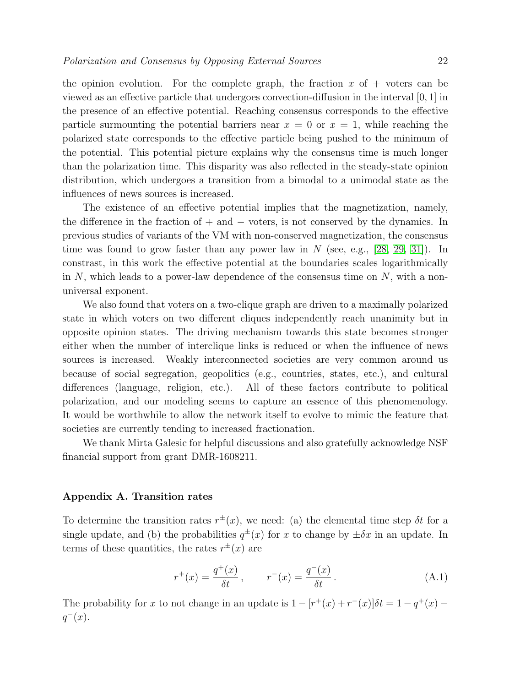the opinion evolution. For the complete graph, the fraction  $x$  of  $+$  voters can be viewed as an effective particle that undergoes convection-diffusion in the interval [0, 1] in the presence of an effective potential. Reaching consensus corresponds to the effective particle surmounting the potential barriers near  $x = 0$  or  $x = 1$ , while reaching the polarized state corresponds to the effective particle being pushed to the minimum of the potential. This potential picture explains why the consensus time is much longer than the polarization time. This disparity was also reflected in the steady-state opinion distribution, which undergoes a transition from a bimodal to a unimodal state as the influences of news sources is increased.

The existence of an effective potential implies that the magnetization, namely, the difference in the fraction of  $+$  and  $-$  voters, is not conserved by the dynamics. In previous studies of variants of the VM with non-conserved magnetization, the consensus time was found to grow faster than any power law in  $N$  (see, e.g., [\[28,](#page-28-1) [29,](#page-28-2) [31\]](#page-28-4)). In constrast, in this work the effective potential at the boundaries scales logarithmically in N, which leads to a power-law dependence of the consensus time on  $N$ , with a nonuniversal exponent.

We also found that voters on a two-clique graph are driven to a maximally polarized state in which voters on two different cliques independently reach unanimity but in opposite opinion states. The driving mechanism towards this state becomes stronger either when the number of interclique links is reduced or when the influence of news sources is increased. Weakly interconnected societies are very common around us because of social segregation, geopolitics (e.g., countries, states, etc.), and cultural differences (language, religion, etc.). All of these factors contribute to political polarization, and our modeling seems to capture an essence of this phenomenology. It would be worthwhile to allow the network itself to evolve to mimic the feature that societies are currently tending to increased fractionation.

We thank Mirta Galesic for helpful discussions and also gratefully acknowledge NSF financial support from grant DMR-1608211.

# Appendix A. Transition rates

To determine the transition rates  $r^{\pm}(x)$ , we need: (a) the elemental time step  $\delta t$  for a single update, and (b) the probabilities  $q^{\pm}(x)$  for x to change by  $\pm \delta x$  in an update. In terms of these quantities, the rates  $r^{\pm}(x)$  are

<span id="page-21-0"></span>
$$
r^+(x) = \frac{q^+(x)}{\delta t}, \qquad r^-(x) = \frac{q^-(x)}{\delta t}.
$$
 (A.1)

The probability for x to not change in an update is  $1 - [r^+(x) + r^-(x)]\delta t = 1 - q^+(x)$  $q^-(x)$ .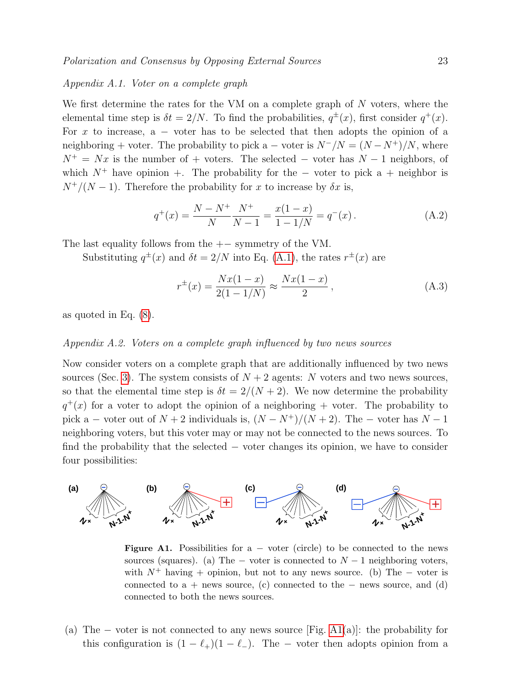# <span id="page-22-0"></span>Appendix A.1. Voter on a complete graph

We first determine the rates for the VM on a complete graph of  $N$  voters, where the elemental time step is  $\delta t = 2/N$ . To find the probabilities,  $q^{\pm}(x)$ , first consider  $q^+(x)$ . For x to increase,  $a -$  voter has to be selected that then adopts the opinion of a neighboring + voter. The probability to pick a – voter is  $N^{-}/N = (N - N^{+})/N$ , where  $N^+ = Nx$  is the number of + voters. The selected – voter has  $N-1$  neighbors, of which  $N^+$  have opinion +. The probability for the – voter to pick a + neighbor is  $N^{+}/(N-1)$ . Therefore the probability for x to increase by  $\delta x$  is,

$$
q^{+}(x) = \frac{N - N^{+}}{N} \frac{N^{+}}{N - 1} = \frac{x(1 - x)}{1 - 1/N} = q^{-}(x).
$$
 (A.2)

The last equality follows from the  $+-$  symmetry of the VM.

Substituting  $q^{\pm}(x)$  and  $\delta t = 2/N$  into Eq. [\(A.1\)](#page-21-0), the rates  $r^{\pm}(x)$  are

$$
r^{\pm}(x) = \frac{Nx(1-x)}{2(1-1/N)} \approx \frac{Nx(1-x)}{2},
$$
\n(A.3)

as quoted in Eq. [\(8\)](#page-4-2).

# <span id="page-22-1"></span>Appendix A.2. Voters on a complete graph influenced by two news sources

Now consider voters on a complete graph that are additionally influenced by two news sources (Sec. [3\)](#page-5-0). The system consists of  $N+2$  agents: N voters and two news sources, so that the elemental time step is  $\delta t = 2/(N+2)$ . We now determine the probability  $q^+(x)$  for a voter to adopt the opinion of a neighboring + voter. The probability to pick a – voter out of  $N + 2$  individuals is,  $(N - N^{+})/(N + 2)$ . The – voter has  $N - 1$ neighboring voters, but this voter may or may not be connected to the news sources. To find the probability that the selected − voter changes its opinion, we have to consider four possibilities:



<span id="page-22-2"></span>Figure A1. Possibilities for  $a - v$  voter (circle) to be connected to the news sources (squares). (a) The – voter is connected to  $N-1$  neighboring voters, with  $N^+$  having + opinion, but not to any news source. (b) The – voter is connected to a + news source, (c) connected to the  $-$  news source, and (d) connected to both the news sources.

(a) The – voter is not connected to any news source [Fig. [A1\(](#page-22-2)a)]: the probability for this configuration is  $(1 - \ell_+)(1 - \ell_-)$ . The – voter then adopts opinion from a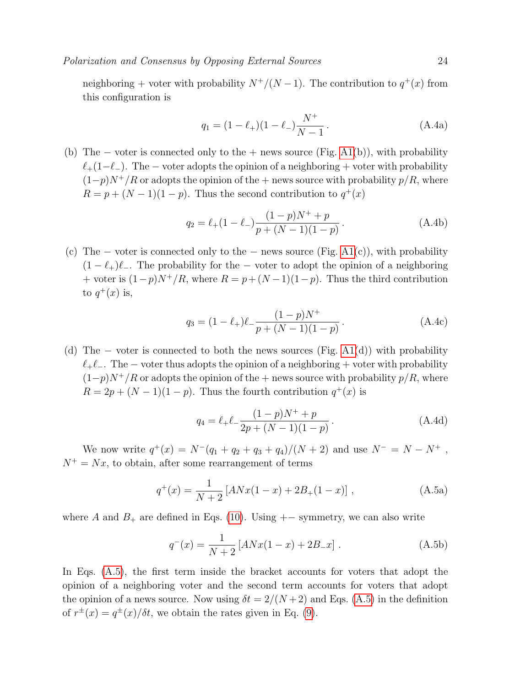Polarization and Consensus by Opposing External Sources 24

neighboring + voter with probability  $N^+/(N-1)$ . The contribution to  $q^+(x)$  from this configuration is

$$
q_1 = (1 - \ell_+)(1 - \ell_-) \frac{N^+}{N - 1}.
$$
 (A.4a)

(b) The – voter is connected only to the + news source (Fig.  $A1(b)$ ), with probability  $\ell_+(1-\ell_-)$ . The – voter adopts the opinion of a neighboring + voter with probability  $(1-p)N^+/R$  or adopts the opinion of the + news source with probability  $p/R$ , where  $R = p + (N - 1)(1 - p)$ . Thus the second contribution to  $q^+(x)$ 

$$
q_2 = \ell_+(1-\ell_-)\frac{(1-p)N^+ + p}{p + (N-1)(1-p)}.
$$
 (A.4b)

(c) The  $-$  voter is connected only to the  $-$  news source (Fig. [A1\(](#page-22-2)c)), with probability  $(1 - \ell_+) \ell_-$ . The probability for the – voter to adopt the opinion of a neighboring + voter is  $(1-p)N^+/R$ , where  $R = p + (N-1)(1-p)$ . Thus the third contribution to  $q^+(x)$  is,

$$
q_3 = (1 - \ell_+) \ell_- \frac{(1 - p)N^+}{p + (N - 1)(1 - p)}.
$$
 (A.4c)

(d) The  $-$  voter is connected to both the news sources (Fig. [A1\(](#page-22-2)d)) with probability  $\ell_+\ell_-$ . The – voter thus adopts the opinion of a neighboring + voter with probability  $(1-p)N^+/R$  or adopts the opinion of the + news source with probability  $p/R$ , where  $R = 2p + (N-1)(1-p)$ . Thus the fourth contribution  $q^+(x)$  is

<span id="page-23-0"></span>
$$
q_4 = \ell_+ \ell_- \frac{(1-p)N^+ + p}{2p + (N-1)(1-p)}.
$$
 (A.4d)

We now write  $q^+(x) = N^-(q_1 + q_2 + q_3 + q_4)/(N+2)$  and use  $N^- = N - N^+$ ,  $N^+ = Nx$ , to obtain, after some rearrangement of terms

$$
q^{+}(x) = \frac{1}{N+2} \left[ ANx(1-x) + 2B_{+}(1-x) \right], \tag{A.5a}
$$

where A and  $B_+$  are defined in Eqs. [\(10\)](#page-6-3). Using  $+-$  symmetry, we can also write

$$
q^{-}(x) = \frac{1}{N+2} \left[ ANx(1-x) + 2B_{-}x \right].
$$
 (A.5b)

In Eqs. [\(A.5\)](#page-23-0), the first term inside the bracket accounts for voters that adopt the opinion of a neighboring voter and the second term accounts for voters that adopt the opinion of a news source. Now using  $\delta t = 2/(N+2)$  and Eqs. [\(A.5\)](#page-23-0) in the definition of  $r^{\pm}(x) = q^{\pm}(x)/\delta t$ , we obtain the rates given in Eq. [\(9\)](#page-5-2).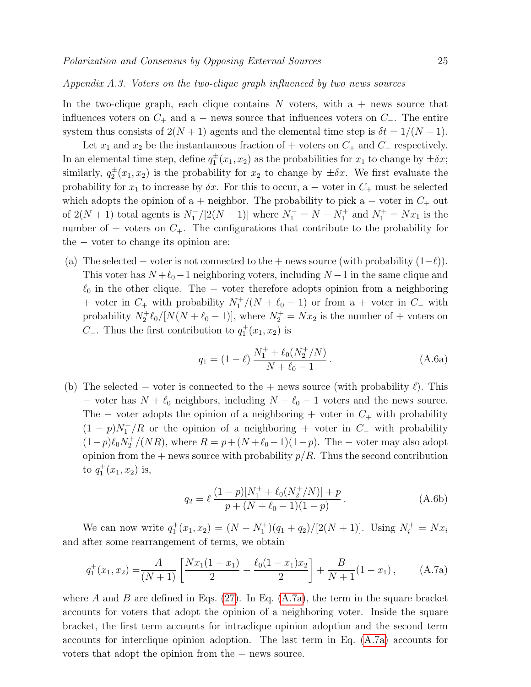<span id="page-24-0"></span>In the two-clique graph, each clique contains  $N$  voters, with a + news source that influences voters on  $C_+$  and a − news source that influences voters on  $C_-\$ . The entire system thus consists of  $2(N + 1)$  agents and the elemental time step is  $\delta t = 1/(N + 1)$ .

Let  $x_1$  and  $x_2$  be the instantaneous fraction of + voters on  $C_+$  and  $C_-$  respectively. In an elemental time step, define  $q_1^{\pm}(x_1, x_2)$  as the probabilities for  $x_1$  to change by  $\pm \delta x$ ; similarly,  $q_2^{\pm}(x_1, x_2)$  is the probability for  $x_2$  to change by  $\pm \delta x$ . We first evaluate the probability for  $x_1$  to increase by  $\delta x$ . For this to occur, a – voter in  $C_+$  must be selected which adopts the opinion of a + neighbor. The probability to pick a – voter in  $C_+$  out of  $2(N + 1)$  total agents is  $N_1^{-} / [2(N + 1)]$  where  $N_1^{-} = N - N_1^{+}$  and  $N_1^{+} = Nx_1$  is the number of + voters on  $C_{+}$ . The configurations that contribute to the probability for the − voter to change its opinion are:

(a) The selected – voter is not connected to the + news source (with probability  $(1-\ell)$ ). This voter has  $N + \ell_0 - 1$  neighboring voters, including  $N - 1$  in the same clique and  $\ell_0$  in the other clique. The − voter therefore adopts opinion from a neighboring + voter in  $C_+$  with probability  $N_1^+/(N + \ell_0 - 1)$  or from a + voter in  $C_-$  with probability  $N_2^+ \ell_0 / [N(N + \ell_0 - 1)]$ , where  $N_2^+ = Nx_2$  is the number of + voters on  $C_$ . Thus the first contribution to  $q_1^+(x_1, x_2)$  is

$$
q_1 = (1 - \ell) \frac{N_1^+ + \ell_0 (N_2^+ / N)}{N + \ell_0 - 1}.
$$
 (A.6a)

(b) The selected – voter is connected to the + news source (with probability  $\ell$ ). This − voter has  $N + \ell_0$  neighbors, including  $N + \ell_0 - 1$  voters and the news source. The – voter adopts the opinion of a neighboring + voter in  $C_+$  with probability  $(1 - p)N_1^+/R$  or the opinion of a neighboring + voter in  $C_$  with probability  $(1-p)\ell_0 N_2^+/(NR)$ , where  $R = p + (N + \ell_0 - 1)(1-p)$ . The – voter may also adopt opinion from the  $+$  news source with probability  $p/R$ . Thus the second contribution to  $q_1^+(x_1, x_2)$  is,

<span id="page-24-2"></span><span id="page-24-1"></span>
$$
q_2 = \ell \frac{(1-p)[N_1^+ + \ell_0(N_2^+/N)] + p}{p + (N + \ell_0 - 1)(1-p)}.
$$
 (A.6b)

We can now write  $q_1^+(x_1, x_2) = (N - N_1^+)(q_1 + q_2)/[2(N + 1)]$ . Using  $N_i^+ = Nx_i$ and after some rearrangement of terms, we obtain

$$
q_1^+(x_1, x_2) = \frac{A}{(N+1)} \left[ \frac{Nx_1(1-x_1)}{2} + \frac{\ell_0(1-x_1)x_2}{2} \right] + \frac{B}{N+1}(1-x_1), \quad (A.7a)
$$

where A and B are defined in Eqs.  $(27)$ . In Eq.  $(A.7a)$ , the term in the square bracket accounts for voters that adopt the opinion of a neighboring voter. Inside the square bracket, the first term accounts for intraclique opinion adoption and the second term accounts for interclique opinion adoption. The last term in Eq. [\(A.7a\)](#page-24-1) accounts for voters that adopt the opinion from the  $+$  news source.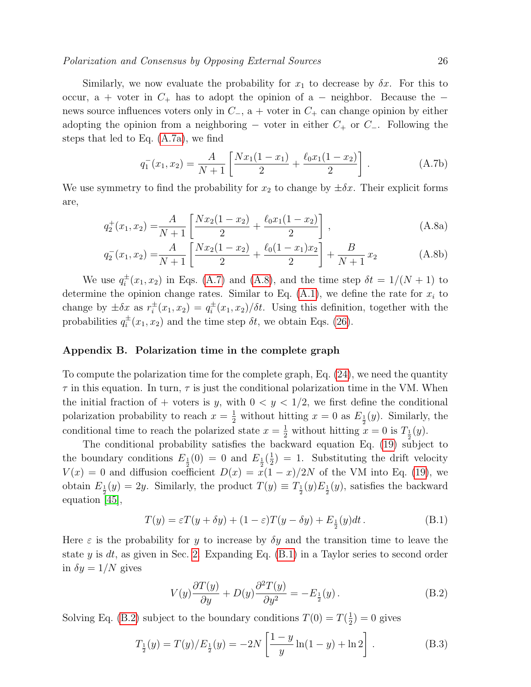# Polarization and Consensus by Opposing External Sources 26

Similarly, we now evaluate the probability for  $x_1$  to decrease by  $\delta x$ . For this to occur, a + voter in  $C_+$  has to adopt the opinion of a – neighbor. Because the – news source influences voters only in  $C_+$ , a + voter in  $C_+$  can change opinion by either adopting the opinion from a neighboring – voter in either  $C_+$  or  $C_-\$ . Following the steps that led to Eq. [\(A.7a\)](#page-24-1), we find

$$
q_1^-(x_1, x_2) = \frac{A}{N+1} \left[ \frac{Nx_1(1-x_1)}{2} + \frac{\ell_0 x_1(1-x_2)}{2} \right].
$$
 (A.7b)

<span id="page-25-1"></span>We use symmetry to find the probability for  $x_2$  to change by  $\pm \delta x$ . Their explicit forms are,

$$
q_2^+(x_1, x_2) = \frac{A}{N+1} \left[ \frac{Nx_2(1-x_2)}{2} + \frac{\ell_0 x_1(1-x_2)}{2} \right],
$$
 (A.8a)

$$
q_2^-(x_1, x_2) = \frac{A}{N+1} \left[ \frac{Nx_2(1-x_2)}{2} + \frac{\ell_0(1-x_1)x_2}{2} \right] + \frac{B}{N+1} x_2 \tag{A.8b}
$$

We use  $q_i^{\pm}$  $i^{\pm}(x_1, x_2)$  in Eqs. [\(A.7\)](#page-24-2) and [\(A.8\)](#page-25-1), and the time step  $\delta t = 1/(N+1)$  to determine the opinion change rates. Similar to Eq.  $(A.1)$ , we define the rate for  $x_i$  to change by  $\pm \delta x$  as  $r_i^{\pm}$  $i^{\pm}(x_1, x_2) = q_i^{\pm}$  $\frac{1}{i}(x_1, x_2)/\delta t$ . Using this definition, together with the probabilities  $q_i^{\pm}$  $i^{\pm}(x_1, x_2)$  and the time step  $\delta t$ , we obtain Eqs. [\(26\)](#page-16-1).

# <span id="page-25-0"></span>Appendix B. Polarization time in the complete graph

To compute the polarization time for the complete graph, Eq. [\(24\)](#page-14-1), we need the quantity  $\tau$  in this equation. In turn,  $\tau$  is just the conditional polarization time in the VM. When the initial fraction of + voters is y, with  $0 < y < 1/2$ , we first define the conditional polarization probability to reach  $x = \frac{1}{2}$  without hitting  $x = 0$  as  $E_{\frac{1}{2}}(y)$ . Similarly, the conditional time to reach the polarized state  $x = \frac{1}{2}$  without hitting  $x = 0$  is  $T_{\frac{1}{2}}(y)$ .

The conditional probability satisfies the backward equation Eq. [\(19\)](#page-9-2) subject to the boundary conditions  $E_{\frac{1}{2}}(0) = 0$  and  $E_{\frac{1}{2}}(\frac{1}{2})$  $(\frac{1}{2}) = 1$ . Substituting the drift velocity  $V(x) = 0$  and diffusion coefficient  $D(x) = x(1-x)/2N$  of the VM into Eq. [\(19\)](#page-9-2), we obtain  $E_{\frac{1}{2}}(y) = 2y$ . Similarly, the product  $T(y) \equiv T_{\frac{1}{2}}(y)E_{\frac{1}{2}}(y)$ , satisfies the backward equation [\[45\]](#page-28-15),

$$
T(y) = \varepsilon T(y + \delta y) + (1 - \varepsilon)T(y - \delta y) + E_{\frac{1}{2}}(y)dt.
$$
 (B.1)

Here  $\varepsilon$  is the probability for y to increase by  $\delta y$  and the transition time to leave the state y is dt, as given in Sec. [2.](#page-2-0) Expanding Eq.  $(B.1)$  in a Taylor series to second order in  $\delta y = 1/N$  gives

<span id="page-25-3"></span><span id="page-25-2"></span>
$$
V(y)\frac{\partial T(y)}{\partial y} + D(y)\frac{\partial^2 T(y)}{\partial y^2} = -E_{\frac{1}{2}}(y). \tag{B.2}
$$

Solving Eq. [\(B.2\)](#page-25-3) subject to the boundary conditions  $T(0) = T(\frac{1}{2})$  $(\frac{1}{2}) = 0$  gives

$$
T_{\frac{1}{2}}(y) = T(y)/E_{\frac{1}{2}}(y) = -2N\left[\frac{1-y}{y}\ln(1-y) + \ln 2\right].
$$
 (B.3)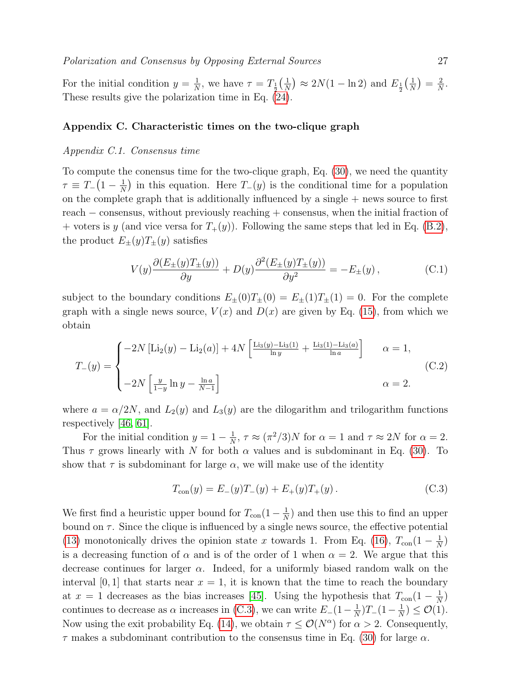For the initial condition  $y = \frac{1}{N}$  $\frac{1}{N}$ , we have  $\tau = T_{\frac{1}{2}}(\frac{1}{N})$  $\frac{1}{N}$   $\geq 2N(1 - \ln 2)$  and  $E_{\frac{1}{2}}(\frac{1}{N})$  $\frac{1}{N}$ ) =  $\frac{2}{N}$  $\frac{2}{N}$ . These results give the polarization time in Eq. [\(24\)](#page-14-1).

# <span id="page-26-0"></span>Appendix C. Characteristic times on the two-clique graph

#### Appendix C.1. Consensus time

To compute the conensus time for the two-clique graph, Eq. [\(30\)](#page-18-1), we need the quantity  $\tau \equiv T_-(1-\frac{1}{N})$  $\frac{1}{N}$ ) in this equation. Here  $T_-(y)$  is the conditional time for a population on the complete graph that is additionally influenced by a single  $+$  news source to first reach − consensus, without previously reaching + consensus, when the initial fraction of + voters is y (and vice versa for  $T_+(y)$ ). Following the same steps that led in Eq. [\(B.2\)](#page-25-3), the product  $E_{\pm}(y)T_{\pm}(y)$  satisfies

<span id="page-26-2"></span>
$$
V(y)\frac{\partial (E_{\pm}(y)T_{\pm}(y))}{\partial y} + D(y)\frac{\partial^2 (E_{\pm}(y)T_{\pm}(y))}{\partial y^2} = -E_{\pm}(y),\tag{C.1}
$$

subject to the boundary conditions  $E_{\pm}(0)T_{\pm}(0) = E_{\pm}(1)T_{\pm}(1) = 0$ . For the complete graph with a single news source,  $V(x)$  and  $D(x)$  are given by Eq. [\(15\)](#page-7-2), from which we obtain

$$
T_{-}(y) = \begin{cases} -2N \left[ \text{Li}_{2}(y) - \text{Li}_{2}(a) \right] + 4N \left[ \frac{\text{Li}_{3}(y) - \text{Li}_{3}(1)}{\ln y} + \frac{\text{Li}_{3}(1) - \text{Li}_{3}(a)}{\ln a} \right] & \alpha = 1, \\ \\ -2N \left[ \frac{y}{1-y} \ln y - \frac{\ln a}{N-1} \right] & \alpha = 2. \end{cases}
$$
(C.2)

where  $a = \alpha/2N$ , and  $L_2(y)$  and  $L_3(y)$  are the dilogarithm and trilogarithm functions respectively [\[46,](#page-28-16) [61\]](#page-29-4).

For the initial condition  $y = 1 - \frac{1}{N}$  $\frac{1}{N}$ ,  $\tau \approx (\pi^2/3)N$  for  $\alpha = 1$  and  $\tau \approx 2N$  for  $\alpha = 2$ . Thus  $\tau$  grows linearly with N for both  $\alpha$  values and is subdominant in Eq. [\(30\)](#page-18-1). To show that  $\tau$  is subdominant for large  $\alpha$ , we will make use of the identity

<span id="page-26-1"></span>
$$
T_{\text{con}}(y) = E_{-}(y)T_{-}(y) + E_{+}(y)T_{+}(y). \tag{C.3}
$$

We first find a heuristic upper bound for  $T_{\text{con}}(1-\frac{1}{N})$  $\frac{1}{N}$ ) and then use this to find an upper bound on  $\tau$ . Since the clique is influenced by a single news source, the effective potential [\(13\)](#page-6-2) monotonically drives the opinion state x towards 1. From Eq. [\(16\)](#page-8-0),  $T_{\text{con}}(1-\frac{1}{N})$  $\frac{1}{N}$ is a decreasing function of  $\alpha$  and is of the order of 1 when  $\alpha = 2$ . We argue that this decrease continues for larger  $\alpha$ . Indeed, for a uniformly biased random walk on the interval [0, 1] that starts near  $x = 1$ , it is known that the time to reach the boundary at  $x = 1$  decreases as the bias increases [\[45\]](#page-28-15). Using the hypothesis that  $T_{\text{con}}(1 - \frac{1}{N})$  $\frac{1}{N}$ continues to decrease as  $\alpha$  increases in [\(C.3\)](#page-26-1), we can write  $E_-(1-\frac{1}{N})$  $\frac{1}{N}$ )T<sub>−</sub>(1 –  $\frac{1}{N}$  $\frac{1}{N}$ )  $\leq \mathcal{O}(1)$ . Now using the exit probability Eq. [\(14\)](#page-7-1), we obtain  $\tau \leq \mathcal{O}(N^{\alpha})$  for  $\alpha > 2$ . Consequently,  $\tau$  makes a subdominant contribution to the consensus time in Eq. [\(30\)](#page-18-1) for large  $\alpha$ .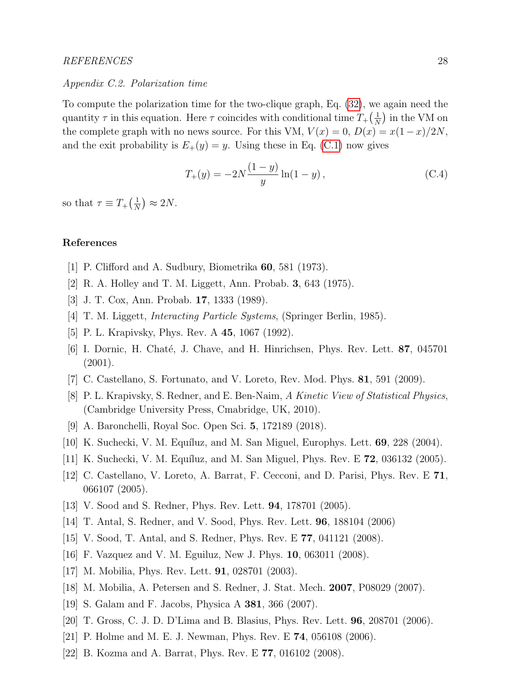# REFERENCES 28

### Appendix C.2. Polarization time

To compute the polarization time for the two-clique graph, Eq. [\(32\)](#page-20-1), we again need the quantity  $\tau$  in this equation. Here  $\tau$  coincides with conditional time  $T_+(\frac{1}{\lambda})$  $\frac{1}{N}$  in the VM on the complete graph with no news source. For this VM,  $V(x) = 0$ ,  $D(x) = x(1-x)/2N$ , and the exit probability is  $E_+(y) = y$ . Using these in Eq. [\(C.1\)](#page-26-2) now gives

$$
T_{+}(y) = -2N \frac{(1-y)}{y} \ln(1-y), \qquad (C.4)
$$

so that  $\tau \equiv T_+(\frac{1}{N})$  $\frac{1}{N}$ )  $\approx 2N$ .

# References

- <span id="page-27-0"></span>[1] P. Clifford and A. Sudbury, Biometrika 60, 581 (1973).
- [2] R. A. Holley and T. M. Liggett, Ann. Probab. 3, 643 (1975).
- [3] J. T. Cox, Ann. Probab. 17, 1333 (1989).
- [4] T. M. Liggett, Interacting Particle Systems, (Springer Berlin, 1985).
- [5] P. L. Krapivsky, Phys. Rev. A 45, 1067 (1992).
- [6] I. Dornic, H. Chaté, J. Chave, and H. Hinrichsen, Phys. Rev. Lett. **87**, 045701 (2001).
- [7] C. Castellano, S. Fortunato, and V. Loreto, Rev. Mod. Phys. 81, 591 (2009).
- [8] P. L. Krapivsky, S. Redner, and E. Ben-Naim, A Kinetic View of Statistical Physics, (Cambridge University Press, Cmabridge, UK, 2010).
- <span id="page-27-1"></span>[9] A. Baronchelli, Royal Soc. Open Sci. 5, 172189 (2018).
- <span id="page-27-2"></span>[10] K. Suchecki, V. M. Equíluz, and M. San Miguel, Europhys. Lett.  $69$ ,  $228$  (2004).
- [11] K. Suchecki, V. M. Equíluz, and M. San Miguel, Phys. Rev. E  $72$ , 036132 (2005).
- [12] C. Castellano, V. Loreto, A. Barrat, F. Cecconi, and D. Parisi, Phys. Rev. E 71, 066107 (2005).
- [13] V. Sood and S. Redner, Phys. Rev. Lett. 94, 178701 (2005).
- [14] T. Antal, S. Redner, and V. Sood, Phys. Rev. Lett. 96, 188104 (2006)
- [15] V. Sood, T. Antal, and S. Redner, Phys. Rev. E 77, 041121 (2008).
- <span id="page-27-3"></span>[16] F. Vazquez and V. M. Eguiluz, New J. Phys. 10, 063011 (2008).
- <span id="page-27-4"></span>[17] M. Mobilia, Phys. Rev. Lett. 91, 028701 (2003).
- [18] M. Mobilia, A. Petersen and S. Redner, J. Stat. Mech. 2007, P08029 (2007).
- <span id="page-27-5"></span>[19] S. Galam and F. Jacobs, Physica A 381, 366 (2007).
- <span id="page-27-6"></span>[20] T. Gross, C. J. D. D'Lima and B. Blasius, Phys. Rev. Lett. 96, 208701 (2006).
- [21] P. Holme and M. E. J. Newman, Phys. Rev. E 74, 056108 (2006).
- [22] B. Kozma and A. Barrat, Phys. Rev. E 77, 016102 (2008).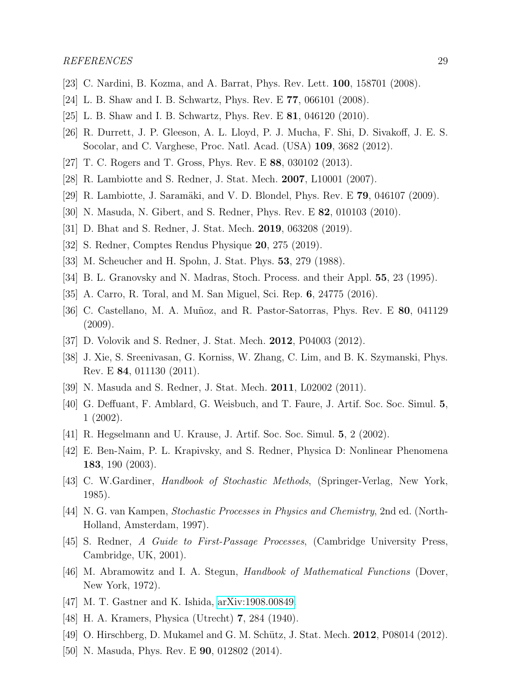- [23] C. Nardini, B. Kozma, and A. Barrat, Phys. Rev. Lett. 100, 158701 (2008).
- [24] L. B. Shaw and I. B. Schwartz, Phys. Rev. E 77, 066101 (2008).
- [25] L. B. Shaw and I. B. Schwartz, Phys. Rev. E 81, 046120 (2010).
- [26] R. Durrett, J. P. Gleeson, A. L. Lloyd, P. J. Mucha, F. Shi, D. Sivakoff, J. E. S. Socolar, and C. Varghese, Proc. Natl. Acad. (USA) 109, 3682 (2012).
- <span id="page-28-0"></span>[27] T. C. Rogers and T. Gross, Phys. Rev. E 88, 030102 (2013).
- <span id="page-28-1"></span>[28] R. Lambiotte and S. Redner, J. Stat. Mech. 2007, L10001 (2007).
- <span id="page-28-2"></span>[29] R. Lambiotte, J. Saramäki, and V. D. Blondel, Phys. Rev. E  $79$ , 046107 (2009).
- <span id="page-28-3"></span>[30] N. Masuda, N. Gibert, and S. Redner, Phys. Rev. E 82, 010103 (2010).
- <span id="page-28-4"></span>[31] D. Bhat and S. Redner, J. Stat. Mech. 2019, 063208 (2019).
- <span id="page-28-5"></span>[32] S. Redner, Comptes Rendus Physique 20, 275 (2019).
- <span id="page-28-6"></span>[33] M. Scheucher and H. Spohn, J. Stat. Phys. 53, 279 (1988).
- [34] B. L. Granovsky and N. Madras, Stoch. Process. and their Appl. 55, 23 (1995).
- <span id="page-28-7"></span>[35] A. Carro, R. Toral, and M. San Miguel, Sci. Rep. 6, 24775 (2016).
- <span id="page-28-8"></span>[36] C. Castellano, M. A. Muñoz, and R. Pastor-Satorras, Phys. Rev. E 80, 041129 (2009).
- <span id="page-28-9"></span>[37] D. Volovik and S. Redner, J. Stat. Mech. 2012, P04003 (2012).
- <span id="page-28-10"></span>[38] J. Xie, S. Sreenivasan, G. Korniss, W. Zhang, C. Lim, and B. K. Szymanski, Phys. Rev. E 84, 011130 (2011).
- <span id="page-28-11"></span>[39] N. Masuda and S. Redner, J. Stat. Mech. 2011, L02002 (2011).
- <span id="page-28-12"></span>[40] G. Deffuant, F. Amblard, G. Weisbuch, and T. Faure, J. Artif. Soc. Soc. Simul. 5, 1 (2002).
- [41] R. Hegselmann and U. Krause, J. Artif. Soc. Soc. Simul. 5, 2 (2002).
- <span id="page-28-13"></span>[42] E. Ben-Naim, P. L. Krapivsky, and S. Redner, Physica D: Nonlinear Phenomena 183, 190 (2003).
- <span id="page-28-14"></span>[43] C. W.Gardiner, Handbook of Stochastic Methods, (Springer-Verlag, New York, 1985).
- [44] N. G. van Kampen, Stochastic Processes in Physics and Chemistry, 2nd ed. (North-Holland, Amsterdam, 1997).
- <span id="page-28-15"></span>[45] S. Redner, A Guide to First-Passage Processes, (Cambridge University Press, Cambridge, UK, 2001).
- <span id="page-28-16"></span>[46] M. Abramowitz and I. A. Stegun, Handbook of Mathematical Functions (Dover, New York, 1972).
- <span id="page-28-19"></span>[47] M. T. Gastner and K. Ishida, [arXiv:1908.00849.](http://arxiv.org/abs/1908.00849)
- <span id="page-28-17"></span>[48] H. A. Kramers, Physica (Utrecht) 7, 284 (1940).
- <span id="page-28-18"></span>[49] O. Hirschberg, D. Mukamel and G. M. Schütz, J. Stat. Mech. 2012, P08014 (2012).
- <span id="page-28-20"></span>[50] N. Masuda, Phys. Rev. E **90**, 012802 (2014).